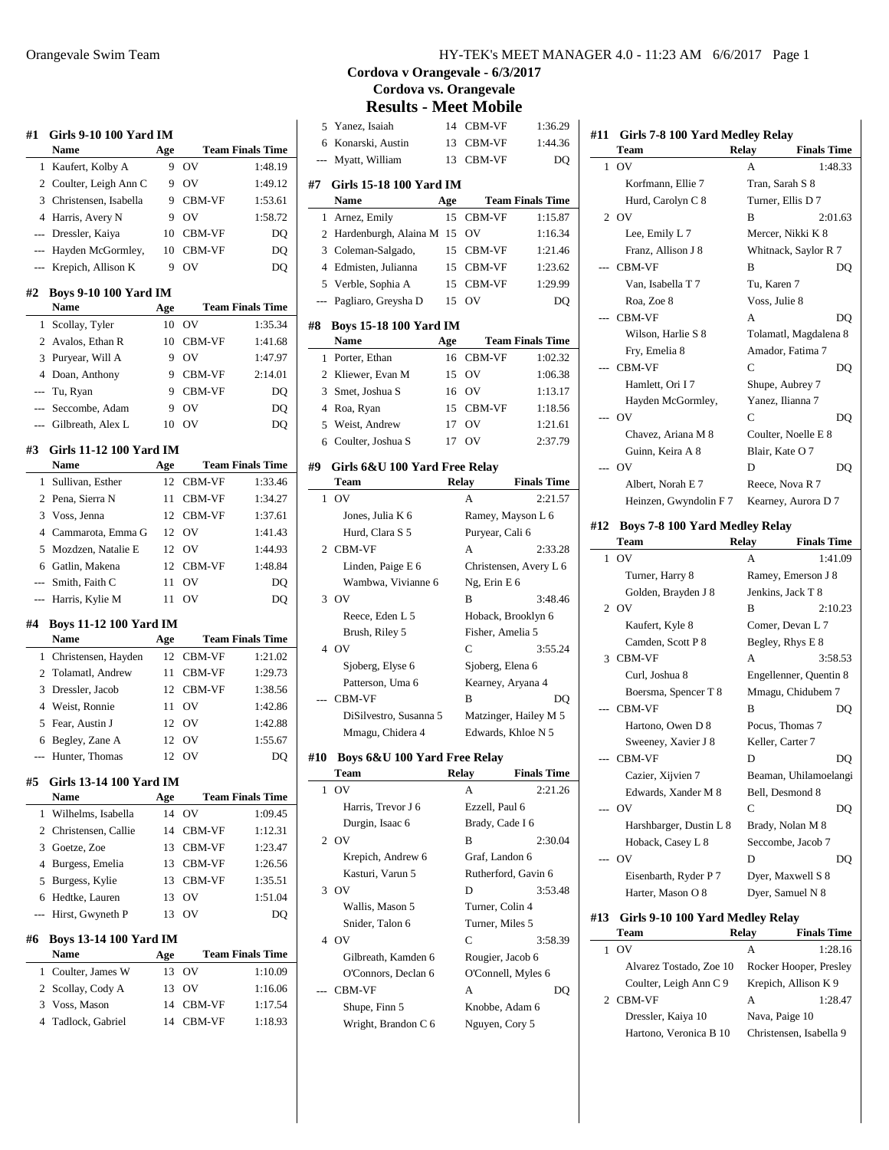| #1                  | <b>Girls 9-10 100 Yard IM</b><br>Name         |          |                  | <b>Team Finals Time</b> |
|---------------------|-----------------------------------------------|----------|------------------|-------------------------|
|                     |                                               | Age<br>9 | OV               |                         |
| 1                   | Kaufert, Kolby A                              | 9        | OV               | 1:48.19<br>1:49.12      |
| $\overline{2}$<br>3 | Coulter, Leigh Ann C<br>Christensen, Isabella | 9        |                  |                         |
| $\overline{4}$      |                                               |          | CBM-VF           | 1:53.61                 |
|                     | Harris, Avery N                               | 9        | OV               | 1:58.72                 |
| ---                 | Dressler, Kaiya                               | 10       | CBM-VF           | DO                      |
| $---$               | Hayden McGormley,                             | 10       | CBM-VF           | DQ                      |
|                     | Krepich, Allison K                            | 9        | OV               | DO                      |
| #2                  | <b>Boys 9-10 100 Yard IM</b><br>Name          | Age      |                  | <b>Team Finals Time</b> |
| 1                   | Scollay, Tyler                                | 10       | OV               | 1:35.34                 |
| 2                   | Avalos, Ethan R                               | 10       | CBM-VF           | 1:41.68                 |
| 3                   | Puryear, Will A                               | 9        | OV               | 1:47.97                 |
| $\overline{4}$      | Doan, Anthony                                 | 9        | CBM-VF           | 2:14.01                 |
| ---                 | Tu, Ryan                                      | 9        | CBM-VF           | DQ                      |
| ---                 | Seccombe, Adam                                | 9        | OV               | DO                      |
| ---                 | Gilbreath, Alex L                             | 10       | OV               | DQ                      |
| #3                  | Girls 11-12 100 Yard IM                       |          |                  |                         |
|                     | <b>Name</b>                                   | Age      |                  | <b>Team Finals Time</b> |
| 1                   | Sullivan, Esther                              | 12       | CBM-VF           | 1:33.46                 |
| 2                   | Pena, Sierra N                                | 11       | CBM-VF           | 1:34.27                 |
| 3                   | Voss, Jenna                                   | 12       | CBM-VF           | 1:37.61                 |
| $\overline{4}$      | Cammarota, Emma G                             | 12       | OV               | 1:41.43                 |
| 5                   | Mozdzen, Natalie E                            | 12       | OV               | 1:44.93                 |
| 6                   | Gatlin, Makena                                | 12       | CBM-VF           | 1:48.84                 |
| $---$               | Smith, Faith C                                | 11       | OV               | DO                      |
| ---                 | Harris, Kylie M                               | 11       | OV               | DQ                      |
| #4                  | <b>Boys 11-12 100 Yard IM</b>                 |          |                  |                         |
|                     | <b>Name</b>                                   | Age      |                  | <b>Team Finals Time</b> |
| 1                   | Christensen, Hayden                           | 12       | CBM-VF           | 1:21.02                 |
| 2                   | Tolamatl, Andrew                              | 11       | CBM-VF           | 1:29.73                 |
| 3                   | Dressler, Jacob                               | 12       | CBM-VF           | 1:38.56                 |
| 4                   | Weist, Ronnie                                 | 11       | OV               | 1:42.86                 |
| 5                   | Fear, Austin J                                | 12       | OV               | 1:42.88                 |
| 6                   | Begley, Zane A                                | 12       | OV               | 1:55.67                 |
|                     | Hunter, Thomas                                | 12       | OV               | DO                      |
| #5                  | Girls 13-14 100 Yard IM<br>Name               | Age      |                  | <b>Team Finals Time</b> |
| 1                   | Wilhelms, Isabella                            | 14       | OV               | 1:09.45                 |
| 2                   | Christensen, Callie                           | 14       | CBM-VF           | 1:12.31                 |
| 3                   | Goetze, Zoe                                   | 13       | CBM-VF           | 1:23.47                 |
| 4                   | Burgess, Emelia                               | 13       | CBM-VF           | 1:26.56                 |
| 5                   | Burgess, Kylie                                | 13       | CBM-VF           | 1:35.51                 |
| 6                   | Hedtke, Lauren                                | 13       | OV               | 1:51.04                 |
|                     | Hirst, Gwyneth P                              | 13       | OV               | DO                      |
| #6                  | <b>Boys 13-14 100 Yard IM</b>                 |          |                  |                         |
|                     | Name                                          | Age      |                  | <b>Team Finals Time</b> |
| 1                   | Coulter, James W                              | 13       | OV               | 1:10.09                 |
| 2                   | Scollay, Cody A                               | 13       | OV               | 1:16.06                 |
| 3                   |                                               | 14       |                  | 1:17.54                 |
| 4                   | Voss, Mason<br>Tadlock, Gabriel               | 14       | CBM-VF<br>CBM-VF | 1:18.93                 |

# **Cordova v Orangevale - 6/3/2017 Cordova vs. Orangevale**

**Results - Meet Mobile**

| 5            | Yanez, Isaiah                              | 14        | CBM-VF                                 | 1:36.29            |
|--------------|--------------------------------------------|-----------|----------------------------------------|--------------------|
| 6            | Konarski, Austin                           | 13        | CBM-VF                                 | 1:44.36            |
| ---          | Myatt, William                             | 13        | CBM-VF                                 | DO                 |
|              |                                            |           |                                        |                    |
| #7           | Girls 15-18 100 Yard IM<br>Name            |           | <b>Team Finals Time</b>                |                    |
| 1            | Arnez, Emily                               | Age<br>15 | <b>CBM-VF</b>                          | 1:15.87            |
|              | 2 Hardenburgh, Alaina M                    | 15        | OV                                     | 1:16.34            |
|              | 3 Coleman-Salgado,                         | 15        | CBM-VF                                 | 1:21.46            |
|              | 4 Edmisten, Julianna                       | 15        | CBM-VF                                 | 1:23.62            |
|              | 5 Verble, Sophia A                         | 15        | CBM-VF                                 | 1:29.99            |
| $---$        | Pagliaro, Greysha D                        | 15        | O <sub>V</sub>                         | DQ                 |
|              |                                            |           |                                        |                    |
| #8           | <b>Boys 15-18 100 Yard IM</b>              |           |                                        |                    |
|              | <b>Name</b>                                | Age       | <b>Team Finals Time</b>                |                    |
| $\mathbf{1}$ | Porter, Ethan                              | 16        | <b>CBM-VF</b>                          | 1:02.32            |
|              | 2 Kliewer, Evan M                          | 15        | OV                                     | 1:06.38            |
|              | 3 Smet, Joshua S                           | 16        | OV                                     | 1:13.17            |
|              | 4 Roa, Ryan                                | 15        | CBM-VF                                 | 1:18.56            |
|              | 5 Weist, Andrew                            | 17        | OV                                     | 1:21.61            |
|              | 6 Coulter, Joshua S                        | 17        | OV                                     | 2:37.79            |
| #9           | Girls 6&U 100 Yard Free Relay              |           |                                        |                    |
|              | Team                                       |           | Relay                                  | <b>Finals Time</b> |
| 1            | O <sub>V</sub>                             |           | А                                      | 2:21.57            |
|              | Jones, Julia K 6                           |           | Ramey, Mayson L 6                      |                    |
|              | Hurd, Clara S 5                            |           | Puryear, Cali 6                        |                    |
|              | 2 CBM-VF                                   |           | A                                      | 2:33.28            |
|              | Linden, Paige E 6                          |           | Christensen, Avery L 6                 |                    |
|              | Wambwa, Vivianne 6                         |           | $Ng$ , Erin E 6                        |                    |
|              | 3 OV                                       |           | B                                      | 3:48.46            |
|              | Reece, Eden L 5                            |           | Hoback, Brooklyn 6                     |                    |
|              | Brush, Riley 5                             |           | Fisher, Amelia 5                       |                    |
|              | 4 OV                                       |           | C                                      | 3:55.24            |
|              | Sjoberg, Elyse 6                           |           | Sjoberg, Elena 6                       |                    |
|              | Patterson, Uma 6                           |           | Kearney, Aryana 4                      |                    |
|              | CBM-VF                                     |           | B                                      | DO                 |
|              | DiSilvestro, Susanna 5                     |           | Matzinger, Hailey M 5                  |                    |
|              | Mmagu, Chidera 4                           |           | Edwards, Khloe N 5                     |                    |
|              |                                            |           |                                        |                    |
| #10          | Boys 6&U 100 Yard Free Relay<br>Team       |           |                                        | <b>Finals Time</b> |
|              | O <sub>V</sub>                             | Relay     |                                        |                    |
| 1            |                                            |           | А                                      | 2:21.26            |
|              | Harris, Trevor J 6                         |           | Ezzell, Paul 6                         |                    |
| 2            | Durgin, Isaac 6<br>OV                      |           | Brady, Cade I 6<br>B                   | 2:30.04            |
|              |                                            |           | Graf, Landon 6                         |                    |
|              | Krepich, Andrew 6<br>Kasturi, Varun 5      |           | Rutherford, Gavin 6                    |                    |
| 3            | <b>OV</b>                                  |           | D                                      | 3:53.48            |
|              | Wallis, Mason 5                            |           | Turner, Colin 4                        |                    |
|              | Snider, Talon 6                            |           | Turner, Miles 5                        |                    |
|              | 4 OV                                       |           | C                                      | 3:58.39            |
|              |                                            |           |                                        |                    |
|              | Gilbreath, Kamden 6<br>O'Connors, Declan 6 |           | Rougier, Jacob 6<br>O'Connell, Myles 6 |                    |
|              | CBM-VF                                     |           | А                                      |                    |
|              |                                            |           |                                        | DQ                 |
|              | Shupe, Finn 5<br>Wright, Brandon C 6       |           | Knobbe, Adam 6<br>Nguyen, Cory 5       |                    |
|              |                                            |           |                                        |                    |
|              |                                            |           |                                        |                    |

| #11 | Girls 7-8 100 Yard Medley Relay       |              |                       |  |
|-----|---------------------------------------|--------------|-----------------------|--|
|     | Team                                  | Relay        | <b>Finals Time</b>    |  |
| 1   | O <sub>V</sub>                        | A            | 1:48.33               |  |
|     | Korfmann, Ellie 7                     |              | Tran, Sarah S 8       |  |
|     | Hurd, Carolyn C 8                     |              | Turner, Ellis D 7     |  |
|     | $2$ OV                                | R            | 2:01.63               |  |
|     | Lee, Emily L 7                        |              | Mercer, Nikki K 8     |  |
|     | Franz, Allison J 8                    |              | Whitnack, Saylor R 7  |  |
|     | --- CBM-VF                            | B            | DQ                    |  |
|     | Van, Isabella T 7                     | Tu, Karen 7  |                       |  |
|     | Roa, Zoe 8                            |              | Voss, Julie 8         |  |
|     | --- CBM-VF                            | A            | DO                    |  |
|     | Wilson, Harlie S 8                    |              | Tolamatl, Magdalena 8 |  |
|     | Fry, Emelia 8                         |              | Amador, Fatima 7      |  |
|     | --- CBM-VF                            | C            | DQ                    |  |
|     | Hamlett, Ori I7                       |              | Shupe, Aubrey 7       |  |
|     | Hayden McGormley,                     |              | Yanez, Ilianna 7      |  |
|     | --- OV                                | C            | DO                    |  |
|     | Chavez, Ariana M 8                    |              | Coulter, Noelle E 8   |  |
|     | Guinn, Keira A 8                      |              | Blair, Kate O 7       |  |
|     | $-0V$                                 | D            | DQ                    |  |
|     | Albert, Norah E 7                     |              | Reece, Nova R 7       |  |
|     | Heinzen, Gwyndolin F 7                |              | Kearney, Aurora D 7   |  |
| #12 | <b>Boys 7-8 100 Yard Medley Relay</b> |              |                       |  |
|     | Team                                  | <b>Relay</b> | <b>Finals Time</b>    |  |
| 1   | O <sub>V</sub>                        | A            | 1:41.09               |  |
|     | Turner, Harry 8                       |              | Ramey, Emerson J 8    |  |
|     | Golden, Brayden J 8                   |              | Jenkins, Jack T 8     |  |

|              | Turner, Harry 8                  | Ramey, Emerson J 8 |                        |
|--------------|----------------------------------|--------------------|------------------------|
|              | Golden, Brayden J 8              |                    | Jenkins, Jack T 8      |
|              | 2.0V                             | B                  | 2:10.23                |
|              | Kaufert, Kyle 8                  |                    | Comer, Devan L 7       |
|              | Camden, Scott P 8                |                    | Begley, Rhys E 8       |
|              | 3 CBM-VF                         | A                  | 3:58.53                |
|              | Curl, Joshua 8                   |                    | Engellenner, Quentin 8 |
|              | Boersma, Spencer T 8             |                    | Mmagu, Chidubem 7      |
|              | --- CBM-VF                       | B                  | DQ                     |
|              | Hartono, Owen D 8                |                    | Pocus, Thomas 7        |
|              | Sweeney, Xavier J 8              |                    | Keller, Carter 7       |
|              | --- CBM-VF                       | D                  | DQ                     |
|              | Cazier, Xijvien 7                |                    | Beaman, Uhilamoelangi  |
|              | Edwards, Xander M 8              |                    | Bell, Desmond 8        |
|              | --- OV                           | C                  | DO                     |
|              | Harshbarger, Dustin L 8          |                    | Brady, Nolan M 8       |
|              | Hoback, Casey L 8                |                    | Seccombe, Jacob 7      |
|              | $-$ OV                           | D                  | DO                     |
|              | Eisenbarth, Ryder P 7            |                    | Dyer, Maxwell S 8      |
|              | Harter, Mason O 8                |                    | Dyer, Samuel N 8       |
| #13          | Girls 9-10 100 Yard Medley Relay |                    |                        |
|              | Team                             | <b>Relay</b>       | <b>Finals Time</b>     |
|              |                                  |                    |                        |
| $\mathbf{1}$ | O <sub>V</sub>                   | A                  | 1:28.16                |
|              | Alvarez Tostado, Zoe 10          |                    | Rocker Hooper Presley  |

| Alvarez Tostado, Zoe 10 | Rocker Hooper, Presley  |
|-------------------------|-------------------------|
| Coulter, Leigh Ann C 9  | Krepich, Allison K 9    |
| 2 CBM-VF                | 1:28.47<br>А            |
| Dressler, Kaiya 10      | Nava, Paige 10          |
| Hartono, Veronica B 10  | Christensen, Isabella 9 |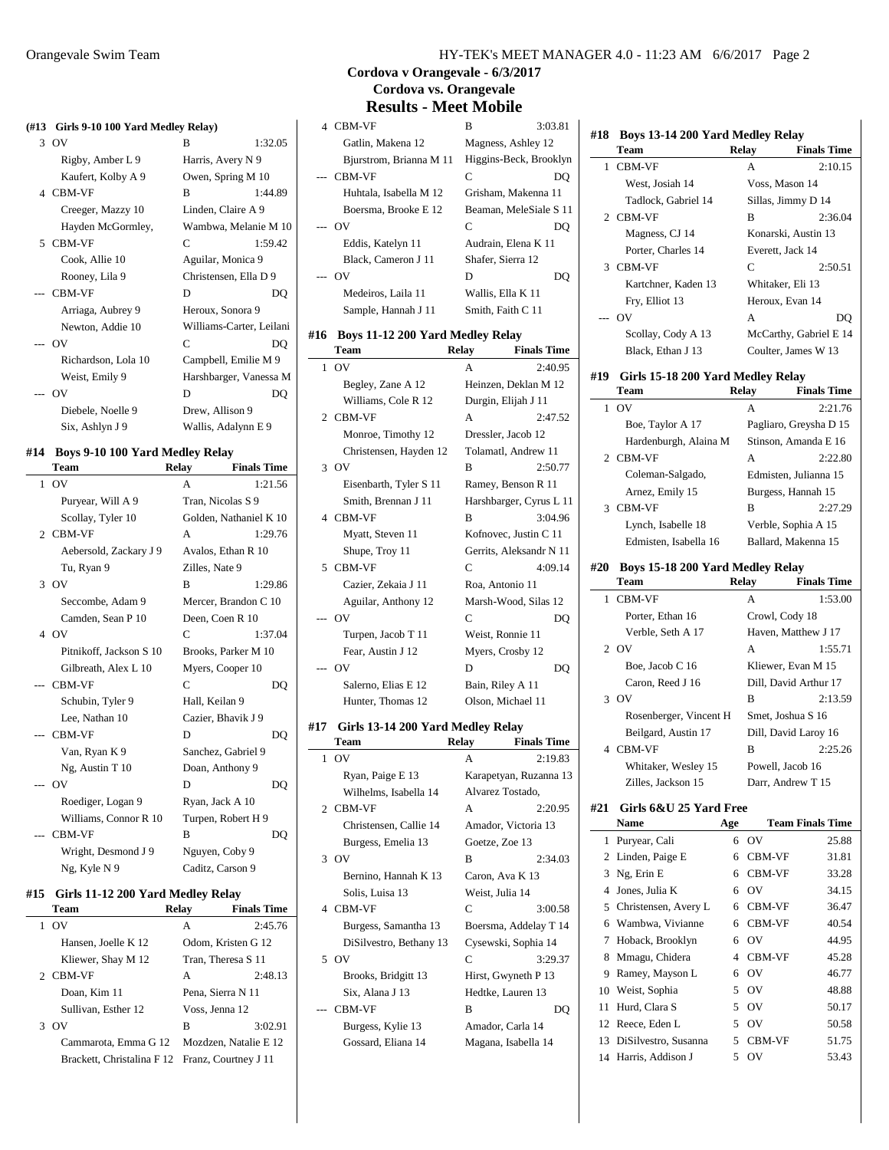#### **(#13 Girls 9-10 100 Yard Medley Relay)**

| $\frac{1}{2}$       |                          |         |
|---------------------|--------------------------|---------|
| 3 OV                | B                        | 1:32.05 |
| Rigby, Amber L 9    | Harris, Avery N 9        |         |
| Kaufert, Kolby A 9  | Owen, Spring M 10        |         |
| 4 CBM-VF            | B                        | 1:44.89 |
| Creeger, Mazzy 10   | Linden, Claire A 9       |         |
| Hayden McGormley,   | Wambwa, Melanie M 10     |         |
| 5 CBM-VF            | C                        | 1:59.42 |
| Cook, Allie 10      | Aguilar, Monica 9        |         |
| Rooney, Lila 9      | Christensen, Ella D 9    |         |
| --- CBM-VF          | D                        | DO      |
| Arriaga, Aubrey 9   | Heroux, Sonora 9         |         |
| Newton, Addie 10    | Williams-Carter, Leilani |         |
| --- OV              | $\mathcal{C}$            | DQ      |
| Richardson, Lola 10 | Campbell, Emilie M 9     |         |
| Weist, Emily 9      | Harshbarger, Vanessa M   |         |
| --- OV              | D                        | DO      |
| Diebele, Noelle 9   | Drew, Allison 9          |         |
| Six, Ashlyn J 9     | Wallis, Adalynn E 9      |         |

#### **#14 Boys 9-10 100 Yard Medley Relay**

|     | Team                    | <b>Relay</b>      | <b>Finals Time</b>     |
|-----|-------------------------|-------------------|------------------------|
|     | $1$ OV                  | A                 | 1:21.56                |
|     | Puryear, Will A 9       | Tran, Nicolas S 9 |                        |
|     | Scollay, Tyler 10       |                   | Golden, Nathaniel K 10 |
|     | 2 CBM-VF                | A                 | 1:29.76                |
|     | Aebersold, Zackary J 9  |                   | Avalos, Ethan R 10     |
|     | Tu, Ryan 9              | Zilles, Nate 9    |                        |
|     | 3 OV                    | B                 | 1:29.86                |
|     | Seccombe, Adam 9        |                   | Mercer, Brandon C 10   |
|     | Camden, Sean P 10       | Deen, Coen R 10   |                        |
|     | 4 OV                    | C                 | 1:37.04                |
|     | Pitnikoff, Jackson S 10 |                   | Brooks, Parker M 10    |
|     | Gilbreath, Alex L 10    |                   | Myers, Cooper 10       |
|     | <b>CBM-VF</b>           | C                 | DQ                     |
|     | Schubin, Tyler 9        | Hall, Keilan 9    |                        |
|     | Lee, Nathan 10          |                   | Cazier, Bhavik J 9     |
|     | -- CBM-VF               | D                 | DO                     |
|     | Van, Ryan K 9           |                   | Sanchez, Gabriel 9     |
|     | Ng, Austin T 10         | Doan, Anthony 9   |                        |
| --- | O <sub>V</sub>          | D                 | DQ                     |
|     | Roediger, Logan 9       | Ryan, Jack A 10   |                        |
|     | Williams, Connor R 10   |                   | Turpen, Robert H 9     |
|     | <b>CBM-VF</b>           | B                 | DQ                     |
|     | Wright, Desmond J 9     | Nguyen, Coby 9    |                        |
|     | Ng, Kyle N 9            | Caditz, Carson 9  |                        |

#### **#15 Girls 11-12 200 Yard Medley Relay**

|   | <b>Team</b>                                     | Relay          | <b>Finals Time</b>    |
|---|-------------------------------------------------|----------------|-----------------------|
|   | OV                                              | A              | 2:45.76               |
|   | Hansen, Joelle K 12                             |                | Odom, Kristen G 12    |
|   | Kliewer, Shay M 12                              |                | Tran, Theresa S 11    |
|   | 2 CBM-VF                                        | A              | 2:48.13               |
|   | Doan, Kim 11                                    |                | Pena, Sierra N 11     |
|   | Sullivan, Esther 12                             | Voss, Jenna 12 |                       |
| 3 | OV                                              | в              | 3:02.91               |
|   | Cammarota, Emma G 12                            |                | Mozdzen, Natalie E 12 |
|   | Brackett, Christalina F 12 Franz, Courtney J 11 |                |                       |

 $\overline{a}$ 

l.

### **Cordova v Orangevale - 6/3/2017 Cordova vs. Orangevale Results - Meet Mobile**

| <b>CBM-VF</b>           | в                      | 3:03.81 |
|-------------------------|------------------------|---------|
| Gatlin, Makena 12       | Magness, Ashley 12     |         |
| Bjurstrom, Brianna M 11 | Higgins-Beck, Brooklyn |         |
| --- CBM-VF              | C                      | DO      |
| Huhtala, Isabella M 12  | Grisham, Makenna 11    |         |
| Boersma, Brooke E 12    | Beaman, MeleSiale S 11 |         |
| OV                      | C                      |         |
| Eddis, Katelyn 11       | Audrain, Elena K 11    |         |
| Black, Cameron J 11     | Shafer, Sierra 12      |         |
| OV                      | D                      | DO      |
| Medeiros, Laila 11      | Wallis, Ella K 11      |         |
| Sample, Hannah J 11     | Smith, Faith C 11      |         |

#### **#16 Boys 11-12 200 Yard Medley Relay**

|              | Team                   | <b>Relay</b> | <b>Finals Time</b>      |
|--------------|------------------------|--------------|-------------------------|
| $\mathbf{1}$ | O <sub>V</sub>         | A            | 2:40.95                 |
|              | Begley, Zane A 12      |              | Heinzen, Deklan M 12    |
|              | Williams, Cole R 12    |              | Durgin, Elijah J 11     |
|              | 2 CBM-VF               | A            | 2:47.52                 |
|              | Monroe, Timothy 12     |              | Dressler, Jacob 12      |
|              | Christensen, Hayden 12 |              | Tolamatl, Andrew 11     |
|              | 3.0V                   | B            | 2:50.77                 |
|              | Eisenbarth, Tyler S 11 |              | Ramey, Benson R 11      |
|              | Smith, Brennan J 11    |              | Harshbarger, Cyrus L 11 |
|              | 4 CBM-VF               | B            | 3:04.96                 |
|              | Myatt, Steven 11       |              | Kofnovec, Justin C 11   |
|              | Shupe, Troy 11         |              | Gerrits, Aleksandr N 11 |
|              | 5 CBM-VF               | C            | 4:09.14                 |
|              | Cazier, Zekaia J 11    |              | Roa, Antonio 11         |
|              | Aguilar, Anthony 12    |              | Marsh-Wood, Silas 12    |
|              | O <sub>V</sub>         | $\mathsf{C}$ | DO                      |
|              | Turpen, Jacob T 11     |              | Weist, Ronnie 11        |
|              | Fear, Austin J 12      |              | Myers, Crosby 12        |
| $---$        | OV                     | D            | DO                      |
|              | Salerno, Elias E 12    |              | Bain, Riley A 11        |
|              | Hunter, Thomas 12      |              | Olson, Michael 11       |

#### **#17 Girls 13-14 200 Yard Medley Relay**

|   | Team                    | Relay           | <b>Finals Time</b>     |
|---|-------------------------|-----------------|------------------------|
| 1 | OV                      | A               | 2:19.83                |
|   | Ryan, Paige E 13        |                 | Karapetyan, Ruzanna 13 |
|   | Wilhelms, Isabella 14   |                 | Alvarez Tostado,       |
|   | 2 CBM-VF                | A               | 2:20.95                |
|   | Christensen, Callie 14  |                 | Amador, Victoria 13    |
|   | Burgess, Emelia 13      | Goetze, Zoe 13  |                        |
|   | 3 OV                    | B               | 2:34.03                |
|   | Bernino, Hannah K 13    |                 | Caron, Ava K 13        |
|   | Solis, Luisa 13         | Weist, Julia 14 |                        |
|   | 4 CBM-VF                | C               | 3:00.58                |
|   | Burgess, Samantha 13    |                 | Boersma, Addelay T 14  |
|   | DiSilvestro, Bethany 13 |                 | Cysewski, Sophia 14    |
|   | 50V                     | C               | 3:29.37                |
|   | Brooks, Bridgitt 13     |                 | Hirst, Gwyneth P 13    |
|   | Six, Alana J 13         |                 | Hedtke, Lauren 13      |
|   | <b>CBM-VF</b>           | B               | DO                     |
|   | Burgess, Kylie 13       |                 | Amador, Carla 14       |
|   | Gossard, Eliana 14      |                 | Magana, Isabella 14    |

| #18 | <b>Boys 13-14 200 Yard Medley Relay</b> |               |                        |
|-----|-----------------------------------------|---------------|------------------------|
|     | Team                                    | Relay         | <b>Finals Time</b>     |
|     | 1 CBM-VF                                | A             | 2:10.15                |
|     | West, Josiah 14                         |               | Voss, Mason 14         |
|     | Tadlock, Gabriel 14                     |               | Sillas, Jimmy D 14     |
|     | 2 CBM-VF                                | R             | 2:36.04                |
|     | Magness, CJ 14                          |               | Konarski, Austin 13    |
|     | Porter, Charles 14                      |               | Everett, Jack 14       |
|     | 3 CBM-VF                                | $\mathcal{C}$ | 2:50.51                |
|     | Kartchner, Kaden 13                     |               | Whitaker, Eli 13       |
|     | Fry, Elliot 13                          |               | Heroux, Evan 14        |
|     | --- OV                                  | $\mathsf{A}$  | DO                     |
|     | Scollay, Cody A 13                      |               | McCarthy, Gabriel E 14 |
|     | Black. Ethan J 13                       |               | Coulter, James W 13    |
| #19 | Girls 15-18 200 Yard Medley Relay       |               |                        |
|     | Team                                    | Relay         | <b>Finals Time</b>     |
|     | $1 \Omega V$                            | $\mathsf{A}$  | 2:21.76                |
|     | Boe, Taylor A 17                        |               | Pagliaro, Greysha D 15 |
|     | Hardenburgh, Alaina M                   |               | Stinson, Amanda E 16   |
|     | 2 CBM-VF                                | A             | 2:22.80                |
|     | Coleman-Salgado,                        |               | Edmisten, Julianna 15  |
|     |                                         |               |                        |

| Arnez, Emily 15       |   | Burgess, Hannah 15  |
|-----------------------|---|---------------------|
| 3 CBM-VF              | в | 2:27.29             |
| Lynch, Isabelle 18    |   | Verble, Sophia A 15 |
| Edmisten, Isabella 16 |   | Ballard, Makenna 15 |
|                       |   |                     |

# **#20 Boys 15-18 200 Yard Medley Relay**

| Team                   | Relay | <b>Finals Time</b>    |
|------------------------|-------|-----------------------|
| 1 CBM-VF               | A     | 1:53.00               |
| Porter, Ethan 16       |       | Crowl, Cody 18        |
| Verble, Seth A 17      |       | Haven, Matthew J 17   |
| 2. OV                  | A     | 1:55.71               |
| Boe. Jacob C 16        |       | Kliewer, Evan M 15    |
| Caron, Reed J 16       |       | Dill, David Arthur 17 |
| 3 OV                   | B     | 2:13.59               |
| Rosenberger, Vincent H |       | Smet, Joshua S 16     |
| Beilgard, Austin 17    |       | Dill, David Laroy 16  |
| 4 CBM-VF               | B     | 2:25.26               |
| Whitaker, Wesley 15    |       | Powell, Jacob 16      |
| Zilles, Jackson 15     |       | Darr, Andrew T 15     |
|                        |       |                       |

# **#21 Girls 6&U 25 Yard Free**

|    | <b>Name</b>          | Age |                | <b>Team Finals Time</b> |
|----|----------------------|-----|----------------|-------------------------|
|    | 1 Puryear, Cali      | 6   | OV             | 25.88                   |
|    | 2 Linden, Paige E    | 6   | <b>CBM-VF</b>  | 31.81                   |
| 3  | Ng, Erin E           | 6   | <b>CBM-VF</b>  | 33.28                   |
| 4  | Jones, Julia K       | 6   | OV             | 34.15                   |
| 5  | Christensen, Avery L | 6   | <b>CBM-VF</b>  | 36.47                   |
| 6  | Wambwa, Vivianne     | 6   | <b>CBM-VF</b>  | 40.54                   |
| 7  | Hoback, Brooklyn     | 6   | OV             | 44.95                   |
| 8  | Mmagu, Chidera       | 4   | <b>CBM-VF</b>  | 45.28                   |
| 9  | Ramey, Mayson L      | 6   | OV             | 46.77                   |
|    | 10 Weist, Sophia     | 5.  | O <sub>V</sub> | 48.88                   |
| 11 | Hurd, Clara S        | 5   | OV             | 50.17                   |
| 12 | Reece, Eden L        | 5   | OV             | 50.58                   |
| 13 | DiSilvestro, Susanna | 5.  | <b>CBM-VF</b>  | 51.75                   |
|    | 14 Harris, Addison J | 5   | OV             | 53.43                   |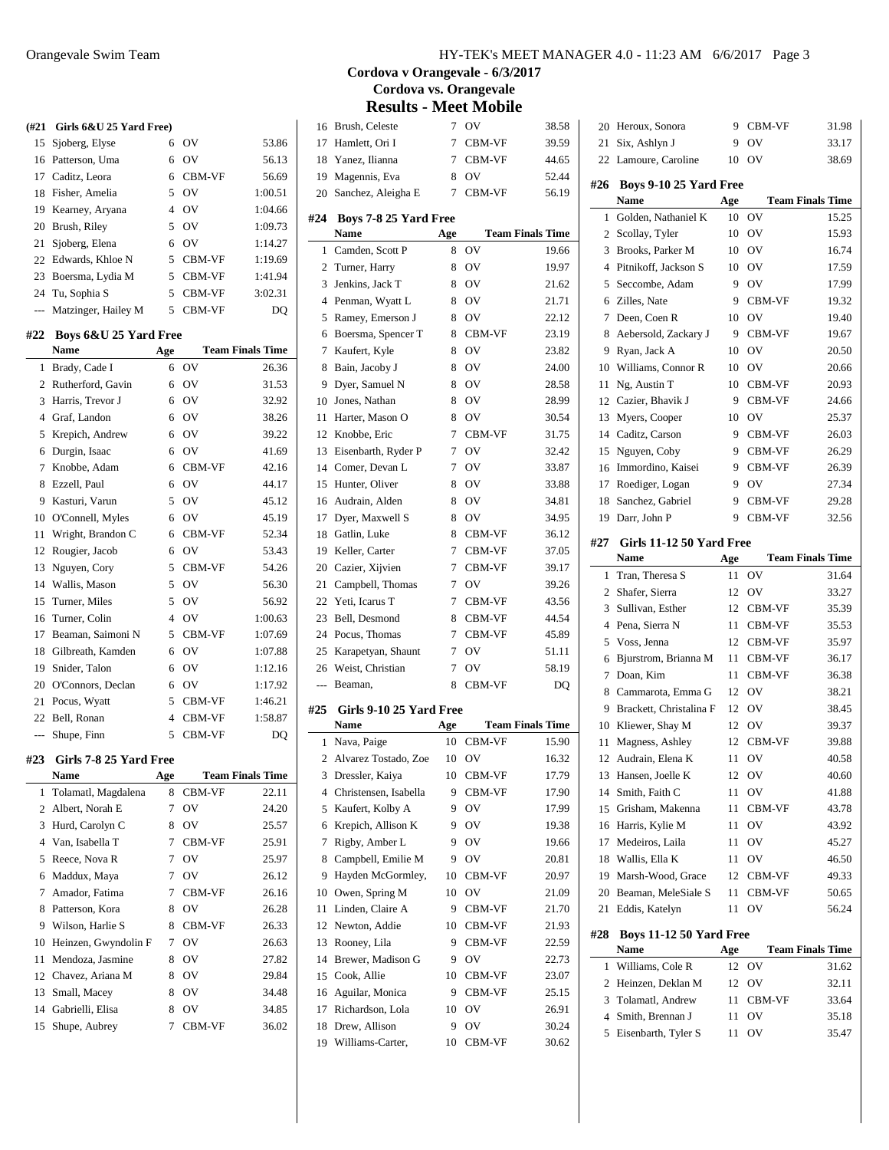|                | $(\#21 \text{ Girls } 6\&U 25 \text{ Yard Free})$ |                |                |                         |
|----------------|---------------------------------------------------|----------------|----------------|-------------------------|
| 15             | Sjoberg, Elyse                                    | 6              | OV             | 53.86                   |
| 16             | Patterson, Uma                                    | 6              | OV             | 56.13                   |
|                | 17 Caditz, Leora                                  | 6              | <b>CBM-VF</b>  | 56.69                   |
| 18             | Fisher, Amelia                                    | 5              | <b>OV</b>      | 1:00.51                 |
| 19             | Kearney, Aryana                                   | $\overline{4}$ | O <sub>V</sub> | 1:04.66                 |
| 20             | Brush, Riley                                      | 5              | OV             | 1:09.73                 |
| 21             | Sjoberg, Elena                                    | 6              | OV             | 1:14.27                 |
| 22             | Edwards, Khloe N                                  | 5              | CBM-VF         | 1:19.69                 |
| 23             | Boersma, Lydia M                                  | 5              | CBM-VF         | 1:41.94                 |
| 24             | Tu, Sophia S                                      | 5              | CBM-VF         | 3:02.31                 |
| $\overline{a}$ | Matzinger, Hailey M                               | 5              | CBM-VF         | D <sub>O</sub>          |
| #22            | Boys 6&U 25 Yard Free                             |                |                |                         |
|                | <b>Name</b>                                       | Age            |                | <b>Team Finals Time</b> |
| 1              | Brady, Cade I                                     | 6              | OV             | 26.36                   |
|                | 2 Rutherford, Gavin                               | 6              | OV             | 31.53                   |
| 3              | Harris, Trevor J                                  | 6              | OV             | 32.92                   |
|                | 4 Graf, Landon                                    | 6              | OV             | 38.26                   |
| 5              | Krepich, Andrew                                   | 6              | OV             | 39.22                   |
| 6              | Durgin, Isaac                                     | 6              | OV             | 41.69                   |
| 7              | Knobbe, Adam                                      | 6              | CBM-VF         | 42.16                   |
| 8              | Ezzell, Paul                                      | 6              | O <sub>V</sub> | 44.17                   |
| 9              | Kasturi, Varun                                    | 5              | <b>OV</b>      | 45.12                   |
| 10             | O'Connell, Myles                                  | 6              | <b>OV</b>      | 45.19                   |
| 11             | Wright, Brandon C                                 | 6              | <b>CBM-VF</b>  | 52.34                   |
| 12             | Rougier, Jacob                                    | 6              | OV             | 53.43                   |
| 13             | Nguyen, Cory                                      | 5              | CBM-VF         | 54.26                   |
| 14             | Wallis, Mason                                     | 5              | OV             | 56.30                   |
| 15             | Turner, Miles                                     | 5              | OV             | 56.92                   |
| 16             | Turner, Colin                                     | 4              | OV             | 1:00.63                 |
| 17             | Beaman, Saimoni N                                 | 5              | <b>CBM-VF</b>  | 1:07.69                 |
| 18             | Gilbreath, Kamden                                 | 6              | OV             | 1:07.88                 |
| 19             | Snider, Talon                                     | 6              | OV             | 1:12.16                 |
| 20             | O'Connors, Declan                                 | 6              | OV             | 1:17.92                 |
| 21             | Pocus, Wyatt                                      | 5              | CBM-VF         | 1:46.21                 |
| 22             | Bell, Ronan                                       | $\overline{4}$ | CBM-VF         | 1:58.87                 |
| ---            | Shupe, Finn                                       | 5              | <b>CBM-VF</b>  | DO                      |
| #23            | Girls 7-8 25 Yard Free                            |                |                |                         |
|                | Name                                              | Age            |                | <b>Team Finals Time</b> |
| 1              | Tolamatl, Magdalena                               | 8              | CBM-VF         | 22.11                   |
| 2              | Albert, Norah E                                   | 7              | OV             | 24.20                   |
| 3              | Hurd, Carolyn C                                   | 8              | OV             | 25.57                   |
| $\overline{4}$ | Van, Isabella T                                   | 7              | CBM-VF         | 25.91                   |
| 5              | Reece, Nova R                                     | 7              | OV             | 25.97                   |
| 6              | Maddux, Maya                                      | 7              | OV             | 26.12                   |
| 7              | Amador, Fatima                                    | 7              | CBM-VF         | 26.16                   |
| 8              | Patterson, Kora                                   | 8              | OV             | 26.28                   |
| 9              | Wilson, Harlie S                                  | 8              | CBM-VF         | 26.33                   |
| 10             | Heinzen, Gwyndolin F                              | 7              | OV             | 26.63                   |
| 11             | Mendoza, Jasmine                                  | 8              | OV             | 27.82                   |
| 12             | Chavez, Ariana M                                  | 8              | OV             | 29.84                   |
|                |                                                   |                |                |                         |

 Small, Macey 8 OV 34.48 Gabrielli, Elisa 8 OV 34.85 Shupe, Aubrey 7 CBM-VF 36.02

#### **Cordova v Orangevale - 6/3/2017 Cordova vs. Orangevale Results - Meet Mobile**

|                | results                      |     | . TATCCI TATANIIC |                         |
|----------------|------------------------------|-----|-------------------|-------------------------|
|                | 16 Brush, Celeste            |     | 7 OV              | 38.58                   |
| 17             | Hamlett, Ori I               |     | 7 CBM-VF          | 39.59                   |
| 18             | Yanez, Ilianna               | 7   | CBM-VF            | 44.65                   |
| 19             | Magennis, Eva                | 8   | <b>OV</b>         | 52.44                   |
| 20             | Sanchez, Aleigha E           | 7   | CBM-VF            | 56.19                   |
|                |                              |     |                   |                         |
| #24            | Boys 7-8 25 Yard Free        |     |                   |                         |
|                | Name                         | Age |                   | <b>Team Finals Time</b> |
| 1              | Camden, Scott P              | 8   | ov                | 19.66                   |
| 2              | Turner, Harry                | 8   | OV                | 19.97                   |
| 3              | Jenkins, Jack T              | 8   | OV                | 21.62                   |
| $\overline{4}$ | Penman, Wyatt L              | 8   | OV                | 21.71                   |
| 5              | Ramey, Emerson J             | 8   | OV                | 22.12                   |
| 6              | Boersma, Spencer T           | 8   | CBM-VF            | 23.19                   |
| 7              | Kaufert, Kyle                | 8   | OV                | 23.82                   |
| 8              | Bain, Jacoby J               | 8   | OV                | 24.00                   |
| 9              | Dyer, Samuel N               | 8   | OV                | 28.58                   |
| 10             | Jones, Nathan                | 8   | OV                | 28.99                   |
| 11             | Harter, Mason O              | 8   | OV                | 30.54                   |
| 12             | Knobbe, Eric                 | 7   | CBM-VF            | 31.75                   |
| 13             | Eisenbarth, Ryder P          | 7   | OV                | 32.42                   |
|                | 14 Comer, Devan L            | 7   | OV                | 33.87                   |
| 15             | Hunter, Oliver               | 8   | OV                | 33.88                   |
| 16             | Audrain, Alden               | 8   | OV                | 34.81                   |
| 17             | Dyer, Maxwell S              | 8   | OV                | 34.95                   |
| 18             | Gatlin, Luke                 | 8   | CBM-VF            | 36.12                   |
| 19             | Keller, Carter               | 7   | CBM-VF            | 37.05                   |
| 20             | Cazier, Xijvien              | 7   | CBM-VF            | 39.17                   |
| 21             | Campbell, Thomas             | 7   | <b>OV</b>         | 39.26                   |
| 22             | Yeti, Icarus T               | 7   | CBM-VF            | 43.56                   |
| 23             | Bell, Desmond                | 8   | CBM-VF            | 44.54                   |
| 24             | Pocus, Thomas                | 7   | CBM-VF            | 45.89                   |
|                | 25 Karapetyan, Shaunt        | 7   | <b>OV</b>         | 51.11                   |
|                | 26 Weist, Christian          | 7   | OV                | 58.19                   |
| ---            | Beaman,                      | 8   | CBM-VF            | DQ                      |
|                |                              |     |                   |                         |
| #25            | Girls 9-10 25 Yard Free      |     |                   |                         |
|                | Name                         | Age |                   | <b>Team Finals Time</b> |
| 1              | Nava, Paige                  | 10  | CBM-VF            | 15.90                   |
|                | 2 Alvarez Tostado, Zoe 10 OV |     |                   | 16.32                   |
| 3              | Dressler, Kaiya              | 10  | CBM-VF            | 17.79                   |
| 4              | Christensen, Isabella        | 9   | CBM-VF            | 17.90                   |
| 5              | Kaufert, Kolby A             | 9   | OV                | 17.99                   |
| 6              | Krepich, Allison K           | 9   | OV                | 19.38                   |
| 7              | Rigby, Amber L               | 9   | OV                | 19.66                   |
| 8              | Campbell, Emilie M           | 9   | OV                | 20.81                   |
| 9              | Hayden McGormley,            | 10  | CBM-VF            | 20.97                   |
| 10             | Owen, Spring M               | 10  | OV                | 21.09                   |
| 11             | Linden, Claire A             | 9   | CBM-VF            | 21.70                   |
| 12             | Newton, Addie                | 10  | CBM-VF            | 21.93                   |
| 13             | Rooney, Lila                 | 9   | CBM-VF            | 22.59                   |
| 14             | Brewer, Madison G            | 9   | OV                | 22.73                   |
| 15             | Cook, Allie                  | 10  | CBM-VF            | 23.07                   |
| 16             | Aguilar, Monica              | 9   | CBM-VF            | 25.15                   |
| 17             | Richardson, Lola             | 10  | OV                | 26.91                   |
| 18             | Drew, Allison                | 9   | OV                | 30.24                   |
| 19             | Williams-Carter,             | 10  | CBM-VF            | 30.62                   |
|                |                              |     |                   |                         |

| 21             | Six, Ashlyn J                         | 9        | OV                      | 33.17          |
|----------------|---------------------------------------|----------|-------------------------|----------------|
|                | 22 Lamoure, Caroline                  | 10       | O <sub>V</sub>          | 38.69          |
| #26            | Boys 9-10 25 Yard Free<br><b>Name</b> | Age      | <b>Team Finals Time</b> |                |
| 1              | Golden, Nathaniel K                   | 10       | OV                      | 15.25          |
| $\overline{2}$ | Scollay, Tyler                        | 10       | OV                      | 15.93          |
| 3              | Brooks, Parker M                      | 10       | OV                      | 16.74          |
| 4              | Pitnikoff, Jackson S                  | 10       | OV                      | 17.59          |
| 5              | Seccombe, Adam                        | 9        | OV                      | 17.99          |
| 6              | Zilles, Nate                          | 9        | CBM-VF                  |                |
|                |                                       |          | O <sub>V</sub>          | 19.32          |
| 7              | Deen, Coen R                          | 10       | CBM-VF                  | 19.40          |
| 8              | Aebersold, Zackary J                  | 9        |                         | 19.67          |
| 9              | Ryan, Jack A                          | 10       | OV                      | 20.50          |
| 10             | Williams, Connor R                    | 10       | OV                      | 20.66          |
| 11             | Ng, Austin T                          | 10       | CBM-VF                  | 20.93          |
| 12             | Cazier, Bhavik J                      | 9        | CBM-VF                  | 24.66          |
| 13             | Myers, Cooper                         | 10       | OV                      | 25.37          |
|                | 14 Caditz, Carson                     | 9        | CBM-VF                  | 26.03          |
| 15             | Nguyen, Coby                          | 9        | CBM-VF                  | 26.29          |
| 16             | Immordino, Kaisei                     | 9        | CBM-VF                  | 26.39          |
|                | 17 Roediger, Logan                    | 9        | OV                      | 27.34          |
|                | 18 Sanchez, Gabriel                   | 9        | CBM-VF                  | 29.28          |
| 19             | Darr, John P                          | 9        | CBM-VF                  | 32.56          |
| #27            | Girls 11-12 50 Yard Free              |          |                         |                |
|                | Name                                  | Age      | <b>Team Finals Time</b> |                |
| 1              | Tran, Theresa S                       | 11       | OV                      | 31.64          |
| $\overline{2}$ | Shafer, Sierra                        | 12       | OV                      | 33.27          |
| 3              | Sullivan, Esther                      | 12       | CBM-VF                  | 35.39          |
| 4              | Pena, Sierra N                        | 11       | CBM-VF                  | 35.53          |
| 5              | Voss, Jenna                           | 12       | CBM-VF                  | 35.97          |
| 6              | Bjurstrom, Brianna M                  | 11       | CBM-VF                  | 36.17          |
| 7              | Doan, Kim                             | 11       | CBM-VF                  | 36.38          |
|                | 8 Cammarota, Emma G                   | 12       | OV                      | 38.21          |
| 9              | Brackett, Christalina F               | 12       | OV                      | 38.45          |
| 10             |                                       | 12       | OV                      | 39.37          |
| 11             | Kliewer, Shay M<br>Magness, Ashley    | 12       |                         | 39.88          |
|                |                                       |          | CBM-VF                  |                |
| 12<br>13       | Audrain, Elena K                      | 11<br>12 | ov<br>OV                | 40.58<br>40.60 |
|                | Hansen, Joelle K<br>Smith, Faith C    |          |                         |                |
| 14             |                                       | 11       | ov                      | 41.88          |
| 15             | Grisham, Makenna                      | 11       | CBM-VF                  | 43.78          |
| 16             | Harris, Kylie M                       | 11       | OV                      | 43.92          |
| 17             | Medeiros, Laila                       | 11       | OV                      | 45.27          |
| 18             | Wallis, Ella K                        | 11       | OV                      | 46.50          |
| 19             | Marsh-Wood, Grace                     | 12       | CBM-VF                  | 49.33          |
| 20             | Beaman, MeleSiale S                   | 11       | CBM-VF                  | 50.65          |
| 21             | Eddis, Katelyn                        | 11       | ov                      | 56.24          |
| #28            | Boys 11-12 50 Yard Free<br>Name       | Age      | <b>Team Finals Time</b> |                |
| 1              | Williams, Cole R                      | 12       | OV                      | 31.62          |
| 2              | Heinzen, Deklan M                     | 12       | ov                      |                |
| 3              | Tolamatl, Andrew                      | 11       | CBM-VF                  | 32.11<br>33.64 |
| 4              | Smith, Brennan J                      | 11       | OV                      |                |
|                |                                       |          |                         | 35.18          |
| 5              | Eisenbarth, Tyler S                   | 11       | ov                      | 35.47          |

Heroux, Sonora 9 CBM-VF 31.98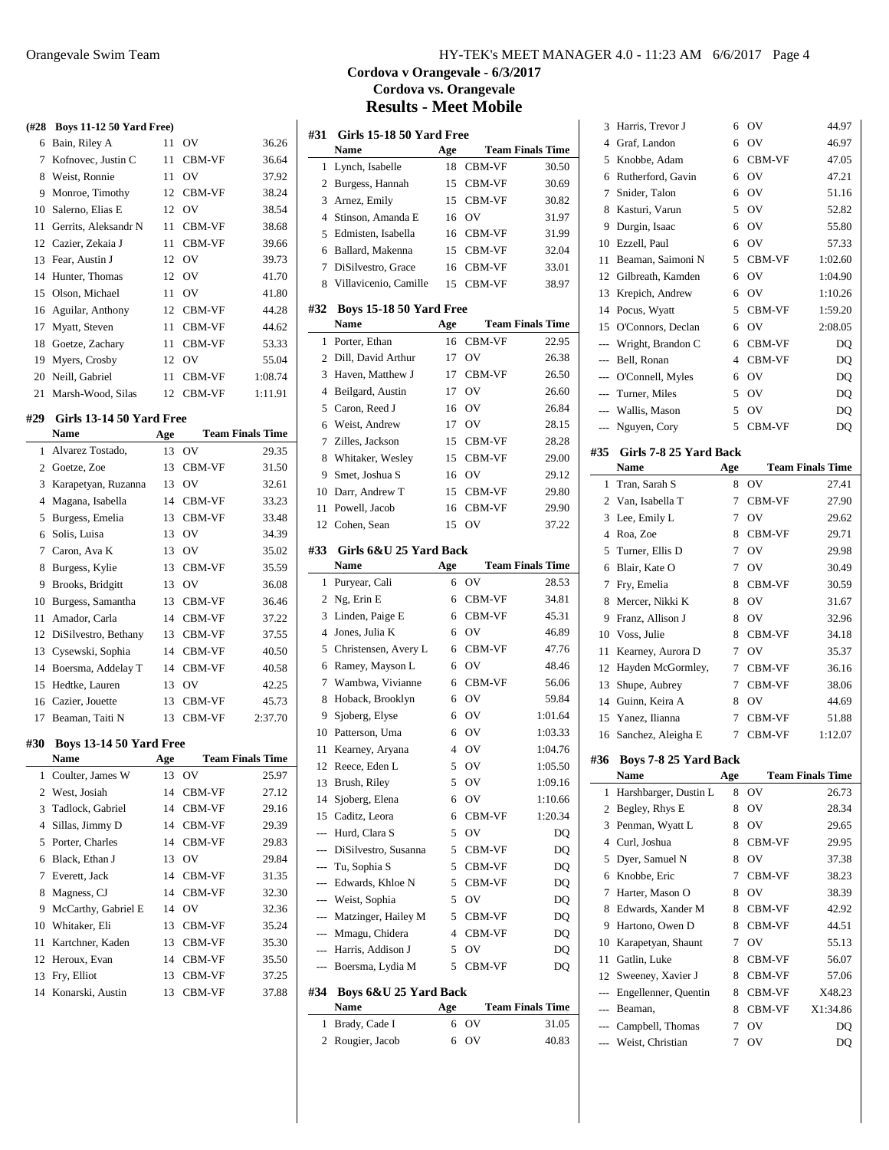| (#28 | <b>Boys 11-12 50 Yard Free)</b>  |      |                |                         |
|------|----------------------------------|------|----------------|-------------------------|
| 6    | Bain, Riley A                    | 11   | OV             | 36.26                   |
| 7    | Kofnovec, Justin C               | 11   | CBM-VF         | 36.64                   |
| 8    | Weist, Ronnie                    | 11   | O <sub>V</sub> | 37.92                   |
| 9    | Monroe, Timothy                  |      | 12 CBM-VF      | 38.24                   |
| 10   | Salerno, Elias E                 |      | 12 OV          | 38.54                   |
| 11   | Gerrits, Aleksandr N             | 11 - | CBM-VF         | 38.68                   |
| 12   | Cazier, Zekaia J                 | 11   | CBM-VF         | 39.66                   |
| 13   | Fear, Austin J                   | 12   | <b>OV</b>      | 39.73                   |
| 14   | Hunter, Thomas                   | 12   | <b>OV</b>      | 41.70                   |
| 15   | Olson, Michael                   | 11   | O <sub>V</sub> | 41.80                   |
| 16   | Aguilar, Anthony                 | 12   | CBM-VF         | 44.28                   |
| 17   | Myatt, Steven                    | 11 - | CBM-VF         | 44.62                   |
| 18   | Goetze, Zachary                  | 11 - | CBM-VF         | 53.33                   |
| 19   | Myers, Crosby                    |      | 12 OV          | 55.04                   |
| 20   | Neill, Gabriel                   | 11 - | CBM-VF         | 1:08.74                 |
| 21   | Marsh-Wood, Silas                | 12   | CBM-VF         | 1:11.91                 |
|      |                                  |      |                |                         |
| #29  | Girls 13-14 50 Yard Free<br>Name | Age  |                | <b>Team Finals Time</b> |
| 1    | Alvarez Tostado,                 | 13   | OV             | 29.35                   |
| 2    | Goetze, Zoe                      | 13   | CBM-VF         | 31.50                   |
| 3    | Karapetyan, Ruzanna              | 13   | <b>OV</b>      | 32.61                   |
| 4    | Magana, Isabella                 |      | 14 CBM-VF      | 33.23                   |
| 5    | Burgess, Emelia                  |      | 13 CBM-VF      | 33.48                   |
| 6    | Solis, Luisa                     |      | 13 OV          | 34.39                   |
| 7    | Caron, Ava K                     |      | 13 OV          | 35.02                   |
| 8    | Burgess, Kylie                   | 13   | <b>CBM-VF</b>  | 35.59                   |
| 9    | Brooks, Bridgitt                 |      | 13 OV          | 36.08                   |
| 10   | Burgess, Samantha                |      | 13 CBM-VF      | 36.46                   |
| 11   | Amador, Carla                    |      | 14 CBM-VF      | 37.22                   |
| 12   | DiSilvestro, Bethany             |      | 13 CBM-VF      | 37.55                   |
| 13   | Cysewski, Sophia                 | 14   | CBM-VF         | 40.50                   |
| 14   | Boersma, Addelay T               |      | 14 CBM-VF      | 40.58                   |
| 15   | Hedtke, Lauren                   |      | 13 OV          | 42.25                   |
| 16   | Cazier, Jouette                  | 13   | CBM-VF         | 45.73                   |
| 17   | Beaman, Taiti N                  | 13   | CBM-VF         | 2:37.70                 |
| #30  | <b>Boys 13-14 50 Yard Free</b>   |      |                |                         |
|      | Name                             | Age  |                | <b>Team Finals Time</b> |
| 1    | Coulter, James W                 | 13   | ov             | 25.97                   |
| 2    | West, Josiah                     | 14   | CBM-VF         | 27.12                   |
| 3    | Tadlock, Gabriel                 | 14   | CBM-VF         | 29.16                   |
| 4    | Sillas, Jimmy D                  | 14   | CBM-VF         | 29.39                   |
| 5    | Porter, Charles                  | 14   | CBM-VF         | 29.83                   |
| 6    | Black, Ethan J                   | 13   | OV             | 29.84                   |
| 7    | Everett, Jack                    | 14   | CBM-VF         | 31.35                   |
| 8    | Magness, CJ                      | 14   | CBM-VF         | 32.30                   |
| 9    | McCarthy, Gabriel E              | 14   | OV             | 32.36                   |
| 10   | Whitaker, Eli                    | 13   | CBM-VF         | 35.24                   |
| 11   | Kartchner, Kaden                 | 13   | CBM-VF         | 35.30                   |
| 12   | Heroux, Evan                     | 14   | CBM-VF         | 35.50                   |
| 13   | Fry, Elliot                      | 13   | CBM-VF         | 37.25                   |
| 14   | Konarski, Austin                 | 13   | CBM-VF         | 37.88                   |
|      |                                  |      |                |                         |

# Orangevale Swim Team HY-TEK's MEET MANAGER 4.0 - 11:23 AM 6/6/2017 Page 4

# **Cordova v Orangevale - 6/3/2017 Cordova vs. Orangevale Results - Meet Mobile**

| Name<br>Age<br>Lynch, Isabelle<br>CBM-VF<br>1<br>18<br>15<br>Burgess, Hannah<br>CBM-VF<br>2 | <b>Team Finals Time</b> |
|---------------------------------------------------------------------------------------------|-------------------------|
|                                                                                             |                         |
|                                                                                             | 30.50                   |
|                                                                                             | 30.69                   |
| 3<br>Arnez, Emily<br>CBM-VF<br>15                                                           | 30.82                   |
| Stinson, Amanda E<br>OV<br>4<br>16                                                          | 31.97                   |
| Edmisten, Isabella<br>16<br>CBM-VF<br>5                                                     | 31.99                   |
| Ballard, Makenna<br>15<br>CBM-VF<br>6                                                       | 32.04                   |
| 7<br>DiSilvestro, Grace<br>CBM-VF<br>16                                                     | 33.01                   |
| Villavicenio, Camille<br>CBM-VF<br>15<br>8                                                  | 38.97                   |
| #32<br><b>Boys 15-18 50 Yard Free</b>                                                       |                         |
| <b>Name</b><br>Age                                                                          | <b>Team Finals Time</b> |
| CBM-VF<br>Porter, Ethan<br>1<br>16                                                          | 22.95                   |
| Dill, David Arthur<br>17<br>OV<br>2                                                         | 26.38                   |
| 3<br>Haven, Matthew J<br>CBM-VF<br>17                                                       | 26.50                   |
| OV<br>Beilgard, Austin<br>4<br>17                                                           | 26.60                   |
| Caron, Reed J<br>OV<br>16<br>5                                                              | 26.84                   |
| Weist, Andrew<br>OV<br>6<br>17                                                              | 28.15                   |
| Zilles. Jackson<br>15<br>CBM-VF<br>7                                                        | 28.28                   |
| Whitaker, Wesley<br>CBM-VF<br>15<br>8                                                       | 29.00                   |
| 9<br>Smet, Joshua S<br>OV<br>16                                                             | 29.12                   |
| Darr, Andrew T<br>15<br>CBM-VF<br>10                                                        | 29.80                   |
|                                                                                             | 29.90                   |
|                                                                                             |                         |
| Powell, Jacob<br>CBM-VF<br>16<br>11                                                         |                         |
| 12<br>Cohen, Sean<br>15<br>OV                                                               | 37.22                   |
| #33<br>Girls 6&U 25 Yard Back                                                               |                         |
| Name<br>Age                                                                                 | <b>Team Finals Time</b> |
| OV<br>Puryear, Cali<br>6<br>1                                                               | 28.53                   |
| Ng, Erin E<br>2<br>6<br>CBM-VF                                                              | 34.81                   |
| 3<br>Linden, Paige E<br>CBM-VF<br>6                                                         | 45.31                   |
| $\overline{4}$<br>Jones, Julia K<br>OV<br>6                                                 | 46.89                   |
| CBM-VF<br>5<br>Christensen, Avery L<br>6                                                    | 47.76                   |
| Ramey, Mayson L<br>OV<br>6<br>6                                                             | 48.46                   |
| Wambwa, Vivianne<br>CBM-VF<br>7<br>6                                                        | 56.06                   |
| OV<br>8<br>Hoback, Brooklyn<br>6                                                            | 59.84                   |
| Sjoberg, Elyse<br>OV<br>9<br>6                                                              | 1:01.64                 |
| Patterson, Uma<br>OV<br>10<br>6                                                             | 1:03.33                 |
| Kearney, Aryana<br>4<br>OV<br>11                                                            | 1:04.76                 |
| 12<br>Reece, Eden L<br>5<br>OV                                                              | 1:05.50                 |
| Brush, Riley<br>$\overline{\text{O}}\text{V}$<br>5<br>13                                    | 1:09.16                 |
| OV<br>14<br>Sjoberg, Elena<br>6                                                             | 1:10.66                 |
| 15<br>Caditz, Leora<br>CBM-VF<br>6                                                          | 1:20.34                 |
| OV<br>Hurd, Clara S<br>5<br>$---$                                                           | DO                      |
| --- DiSilvestro, Susanna<br>5<br>CBM-VF                                                     | DQ                      |
| Tu, Sophia S<br>5<br>CBM-VF<br>---                                                          | DO                      |
| 5<br>Edwards, Khloe N<br>CBM-VF<br>$---$                                                    | DQ                      |
| 5<br>Weist, Sophia<br>OV<br>$---$                                                           | DQ                      |
| Matzinger, Hailey M<br>5<br>CBM-VF<br>$---$                                                 | DQ                      |
| Mmagu, Chidera<br>4<br>CBM-VF<br>$---$                                                      | DQ                      |
| Harris, Addison J<br>5<br>ov<br>$---$                                                       | DQ                      |
| Boersma, Lydia M<br>5<br>CBM-VF<br>$---$                                                    | DQ                      |
|                                                                                             |                         |
| #34<br>Boys 6&U 25 Yard Back<br><b>Name</b><br>Age                                          | <b>Team Finals Time</b> |

Rougier, Jacob 6 OV 40.83

| 3              | Harris, Trevor J                     | 6               | OV            | 44.97                   |
|----------------|--------------------------------------|-----------------|---------------|-------------------------|
| 4              | Graf, Landon                         | 6               | OV            | 46.97                   |
| 5              | Knobbe, Adam                         | 6               | CBM-VF        | 47.05                   |
| 6              | Rutherford, Gavin                    | 6               | OV            | 47.21                   |
| 7              | Snider, Talon                        | 6               | OV            | 51.16                   |
| 8              | Kasturi, Varun                       | 5               | OV            | 52.82                   |
| 9              | Durgin, Isaac                        | 6               | OV            | 55.80                   |
| 10             | Ezzell, Paul                         | 6               | OV            | 57.33                   |
| 11             | Beaman, Saimoni N                    | 5               | CBM-VF        | 1:02.60                 |
| 12             | Gilbreath, Kamden                    | 6               | OV            | 1:04.90                 |
| 13             | Krepich, Andrew                      | 6               | OV            | 1:10.26                 |
| 14             | Pocus, Wyatt                         | 5               | CBM-VF        | 1:59.20                 |
| 15             | O'Connors, Declan                    | 6               | OV            | 2:08.05                 |
| ---            | Wright, Brandon C                    |                 | 6 CBM-VF      | DQ                      |
| $---$          | Bell, Ronan                          |                 | 4 CBM-VF      | DQ                      |
| $\overline{a}$ | O'Connell, Myles                     | 6               | OV            | DQ                      |
| $\cdots$       | Turner, Miles                        | 5               | OV            | DQ                      |
| ---            | Wallis, Mason                        | 5               | OV            | DQ                      |
| ---            | Nguyen, Cory                         | 5               | CBM-VF        | DQ                      |
| #35            | Girls 7-8 25 Yard Back               |                 |               |                         |
|                | Name                                 | Age             |               | <b>Team Finals Time</b> |
| 1              | Tran, Sarah S                        | 8               | OV            | 27.41                   |
| 2              | Van, Isabella T                      | 7               | <b>CBM-VF</b> | 27.90                   |
| 3              | Lee, Emily L                         | 7               | OV            | 29.62                   |
| $\overline{4}$ | Roa, Zoe                             | 8               | CBM-VF        | 29.71                   |
| 5              | Turner, Ellis D                      | 7               | OV            | 29.98                   |
| 6              | Blair, Kate O                        | 7               | OV            | 30.49                   |
| 7              | Fry, Emelia                          | 8               | CBM-VF        | 30.59                   |
| 8              | Mercer, Nikki K                      | 8               | OV            | 31.67                   |
|                |                                      |                 |               |                         |
| 9              | Franz, Allison J                     | 8               | OV            |                         |
| 10             | Voss, Julie                          | 8               | CBM-VF        | 32.96<br>34.18          |
| 11             | Kearney, Aurora D                    | $7^{\circ}$     | OV            | 35.37                   |
| 12             | Hayden McGormley,                    | $7^{\circ}$     | CBM-VF        | 36.16                   |
| 13             |                                      | $7^{\circ}$     | CBM-VF        | 38.06                   |
| 14             | Shupe, Aubrey<br>Guinn, Keira A      | 8               | OV            | 44.69                   |
| 15             | Yanez, Ilianna                       | $7\overline{ }$ | CBM-VF        | 51.88                   |
| 16             | Sanchez, Aleigha E                   | 7               | CBM-VF        | 1:12.07                 |
|                |                                      |                 |               |                         |
| #36            | Boys 7-8 25 Yard Back                |                 |               |                         |
|                | Name                                 | Age             |               | <b>Team Finals Time</b> |
| 1              | Harshbarger, Dustin L                | 8               | OV            | 26.73                   |
| 2              | Begley, Rhys E                       | 8               | OV            | 28.34                   |
| 3              | Penman, Wyatt L                      | 8               | OV            | 29.65                   |
| 4              | Curl, Joshua                         | 8               | CBM-VF        | 29.95                   |
| 5              | Dyer, Samuel N                       | 8               | OV            | 37.38                   |
| 6              | Knobbe, Eric                         | 7               | CBM-VF        | 38.23                   |
| 7              | Harter, Mason O                      | 8               | OV            | 38.39                   |
| 8              | Edwards, Xander M                    | 8               | CBM-VF        | 42.92                   |
| 9              | Hartono, Owen D                      | 8               | CBM-VF        | 44.51                   |
| 10             | Karapetyan, Shaunt                   | 7               | OV            | 55.13                   |
| 11             | Gatlin, Luke                         | 8               | CBM-VF        | 56.07                   |
| 12             | Sweeney, Xavier J                    | 8               | CBM-VF        | 57.06                   |
| ---            | Engellenner, Quentin                 | 8               | CBM-VF        | X48.23                  |
| ---            | Beaman,                              | 8               | CBM-VF        | X1:34.86                |
| ---            | Campbell, Thomas<br>Weist, Christian | 7<br>7          | OV<br>OV      | DQ<br>DQ                |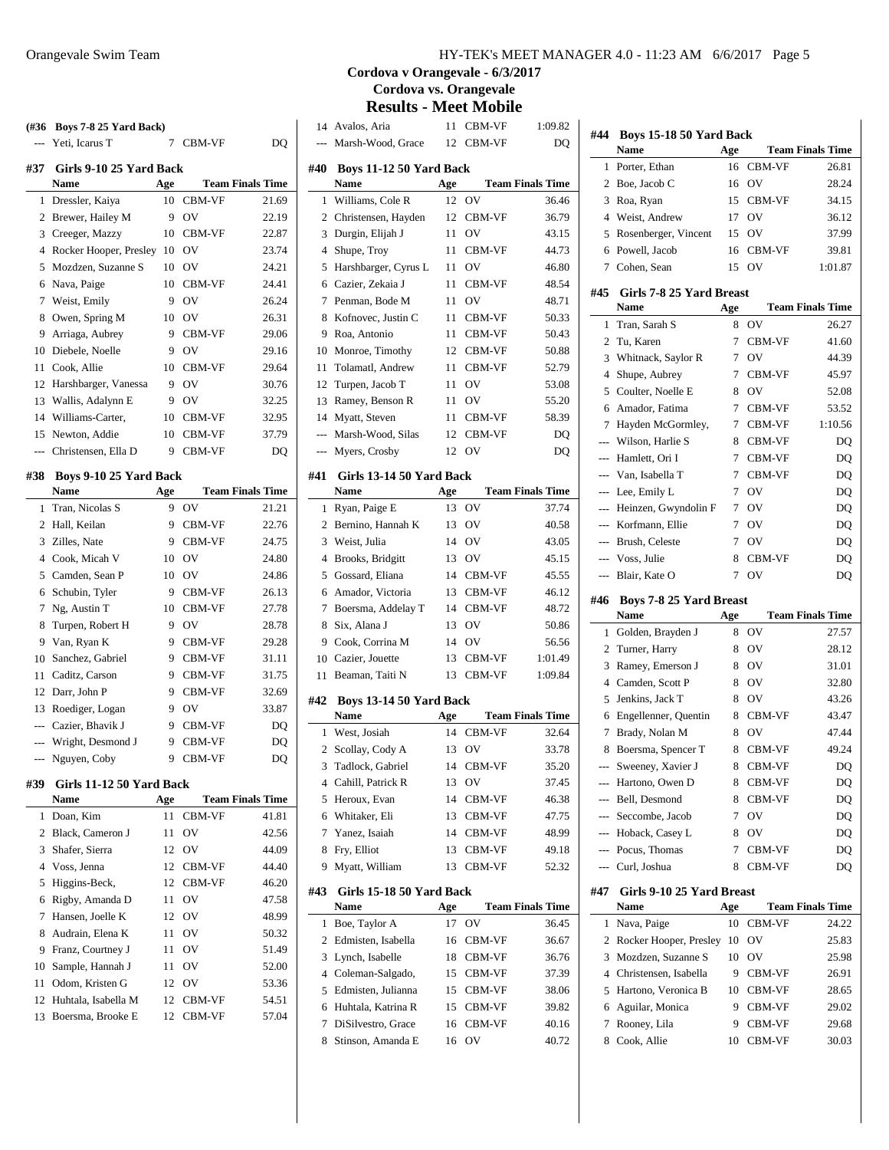|     | (#36 Boys 7-8 25 Yard Back)           |     |                  |                         |
|-----|---------------------------------------|-----|------------------|-------------------------|
|     | Yeti, Icarus T                        | 7   | CBM-VF           | D <sub>O</sub>          |
| #37 | <b>Girls 9-10 25 Yard Back</b>        |     |                  |                         |
|     | Name                                  | Age |                  | <b>Team Finals Time</b> |
| 1   | Dressler, Kaiya                       |     | 10 CBM-VF        | 21.69                   |
|     | 2 Brewer, Hailey M                    | 9   | OV               | 22.19                   |
|     | 3 Creeger, Mazzy                      | 10  | CBM-VF           | 22.87                   |
|     | 4 Rocker Hooper, Presley 10 OV        |     |                  | 23.74                   |
| 5   | Mozdzen, Suzanne S                    | 10  | <b>OV</b>        | 24.21                   |
| 6   | Nava, Paige                           | 10  | CBM-VF           | 24.41                   |
| 7   | Weist, Emily                          | 9   | OV               | 26.24                   |
| 8   | Owen, Spring M                        | 10  | <b>OV</b>        | 26.31                   |
| 9   | Arriaga, Aubrey                       | 9   | CBM-VF           | 29.06                   |
|     | 10 Diebele, Noelle                    | 9   | <b>OV</b>        | 29.16                   |
| 11  | Cook, Allie                           | 10  | CBM-VF           | 29.64                   |
| 12  | Harshbarger, Vanessa                  | 9   | OV               | 30.76                   |
|     | 13 Wallis, Adalynn E                  | 9.  | OV               | 32.25                   |
|     | 14 Williams-Carter,                   | 10  | CBM-VF           | 32.95                   |
|     | 15 Newton, Addie                      | 10  | CBM-VF           | 37.79                   |
|     | --- Christensen, Ella D               | 9   | CBM-VF           | DO                      |
|     |                                       |     |                  |                         |
| #38 | Boys 9-10 25 Yard Back<br><b>Name</b> | Age |                  | <b>Team Finals Time</b> |
| 1   | Tran, Nicolas S                       | 9   | OV               | 21.21                   |
| 2   | Hall, Keilan                          | 9   | CBM-VF           | 22.76                   |
| 3   | Zilles, Nate                          | 9   | CBM-VF           | 24.75                   |
|     | 4 Cook, Micah V                       | 10  | OV               | 24.80                   |
|     | 5 Camden, Sean P                      | 10  | OV               | 24.86                   |
|     |                                       |     |                  |                         |
|     | 6 Schubin, Tyler                      | 9.  | CBM-VF<br>CBM-VF | 26.13<br>27.78          |
| 7   | Ng, Austin T                          | 10  |                  |                         |
| 8   | Turpen, Robert H                      | 9   | OV               | 28.78                   |
|     | 9 Van, Ryan K                         | 9   | CBM-VF           | 29.28                   |
| 10  | Sanchez, Gabriel                      | 9.  | CBM-VF           | 31.11                   |
|     | 11 Caditz, Carson                     | 9   | CBM-VF           | 31.75                   |
|     | 12 Darr, John P                       | 9   | <b>CBM-VF</b>    | 32.69                   |
| 13  | Roediger, Logan                       | 9   | <b>OV</b>        | 33.87                   |
|     | --- Cazier, Bhavik J                  | 9.  | CBM-VF           | DQ                      |
| --- | Wright, Desmond J                     | 9   | <b>CBM-VF</b>    | DQ                      |
|     | Nguyen, Coby                          |     | 9 CBM-VF         | DQ                      |
| #39 | Girls 11-12 50 Yard Back              |     |                  |                         |
|     | Name                                  | Age |                  | <b>Team Finals Time</b> |
| 1   | Doan, Kim                             | 11  | CBM-VF           | 41.81                   |
|     | 2 Black, Cameron J                    | 11  | OV               | 42.56                   |
| 3   | Shafer, Sierra                        | 12  | OV               | 44.09                   |
|     | 4 Voss, Jenna                         | 12  | CBM-VF           | 44.40                   |
| 5   | Higgins-Beck,                         | 12  | CBM-VF           | 46.20                   |
| 6   | Rigby, Amanda D                       | 11  | OV               | 47.58                   |
|     | Hansen, Joelle K                      | 12  | O <sub>V</sub>   | 48.99                   |
| 7   | Audrain, Elena K                      | 11  | OV               | 50.32                   |
| 8   |                                       |     |                  |                         |
| 9   | Franz, Courtney J                     | 11  | OV               | 51.49                   |
| 10  |                                       | 11  | OV               | 52.00                   |
| 11  | Sample, Hannah J<br>Odom, Kristen G   | 12  | OV               | 53.36                   |
| 12  | Huhtala, Isabella M                   | 12  | CBM-VF           | 54.51                   |

# **Cordova v Orangevale - 6/3/2017 Cordova vs. Orangevale**

**Results - Meet Mobile**

| 14             | Avalos, Aria                           | 11       | CBM-VF       | 1:09.82                 |
|----------------|----------------------------------------|----------|--------------|-------------------------|
| ---            | Marsh-Wood, Grace                      | 12       | CBM-VF       | DQ                      |
| #40            | Boys 11-12 50 Yard Back<br>Name        | Age      |              | <b>Team Finals Time</b> |
| 1              | Williams, Cole R                       | 12       | OV           | 36.46                   |
| $\overline{2}$ | Christensen, Hayden                    | 12       | CBM-VF       | 36.79                   |
| 3              | Durgin, Elijah J                       | 11       | OV           | 43.15                   |
| $\overline{4}$ | Shupe, Troy                            | 11       | CBM-VF       | 44.73                   |
| 5              | Harshbarger, Cyrus L                   | 11       | OV           | 46.80                   |
| 6              | Cazier, Zekaia J                       | 11       | CBM-VF       | 48.54                   |
| 7              | Penman, Bode M                         | 11       | OV           | 48.71                   |
| 8              | Kofnovec, Justin C                     | 11       | CBM-VF       | 50.33                   |
| 9              | Roa, Antonio                           | 11       | CBM-VF       | 50.43                   |
| 10             | Monroe, Timothy                        | 12       | CBM-VF       | 50.88                   |
| 11             | Tolamatl, Andrew                       | 11       | CBM-VF       | 52.79                   |
| 12             | Turpen, Jacob T                        | 11       | OV           | 53.08                   |
| 13             | Ramey, Benson R                        | 11       | OV           | 55.20                   |
| 14             | Myatt, Steven                          | 11       | CBM-VF       | 58.39                   |
| $\overline{a}$ | Marsh-Wood, Silas                      | 12       | CBM-VF       | DO                      |
| $\overline{a}$ | Myers, Crosby                          | 12       | OV           | DQ                      |
|                |                                        |          |              |                         |
| #41            | Girls 13-14 50 Yard Back               |          |              |                         |
|                | <b>Name</b>                            | Age      |              | <b>Team Finals Time</b> |
| 1              | Ryan, Paige E                          | 13       | OV           | 37.74                   |
| $\overline{c}$ | Bernino, Hannah K                      | 13       | OV           | 40.58                   |
| 3              | Weist, Julia                           | 14       | OV           | 43.05                   |
| $\overline{4}$ | Brooks, Bridgitt                       | 13       | OV           | 45.15                   |
| 5              | Gossard, Eliana                        | 14       | CBM-VF       | 45.55                   |
| 6              | Amador, Victoria                       | 13       | CBM-VF       | 46.12                   |
| 7<br>8         | Boersma, Addelay T<br>Six, Alana J     | 14<br>13 | CBM-VF<br>OV | 48.72                   |
| 9              | Cook, Corrina M                        | 14       | <b>OV</b>    | 50.86<br>56.56          |
| 10             | Cazier, Jouette                        | 13       | CBM-VF       | 1:01.49                 |
| 11             | Beaman, Taiti N                        | 13       | CBM-VF       | 1:09.84                 |
|                |                                        |          |              |                         |
| #42            | Boys 13-14 50 Yard Back<br><b>Name</b> | Age      |              | <b>Team Finals Time</b> |
| 1              | West, Josiah                           | 14       | CBM-VF       | 32.64                   |
| $\overline{2}$ | Scollay, Cody A                        | 13       | OV           | 33.78                   |
| 3              | Tadlock, Gabriel                       | 14       | CBM-VF       | 35.20                   |
| 4              | Cahill, Patrick R                      | 13       | OV           | 37.45                   |
| 5              | Heroux, Evan                           | 14       | CBM-VF       | 46.38                   |
| 6              | Whitaker, Eli                          | 13       | CBM-VF       | 47.75                   |
| 7              | Yanez, Isaiah                          | 14       | CBM-VF       | 48.99                   |
| 8              | Fry, Elliot                            | 13       | CBM-VF       | 49.18                   |
| 9              | Myatt, William                         | 13       | CBM-VF       | 52.32                   |
|                | Girls 15-18 50 Yard Back               |          |              |                         |
| #43            | <b>Name</b>                            | Age      |              | <b>Team Finals Time</b> |
| 1              | Boe, Taylor A                          | 17       | OV           | 36.45                   |
| $\overline{c}$ | Edmisten, Isabella                     | 16       | CBM-VF       | 36.67                   |
| 3              | Lynch, Isabelle                        | 18       | CBM-VF       | 36.76                   |
| 4              | Coleman-Salgado,                       | 15       | CBM-VF       | 37.39                   |
| 5              | Edmisten, Julianna                     | 15       | CBM-VF       | 38.06                   |
| 6              | Huhtala, Katrina R                     | 15       | CBM-VF       | 39.82                   |
| 7              | DiSilvestro, Grace                     | 16       | CBM-VF       | 40.16                   |
| 8              | Stinson, Amanda E                      | 16       | OV           | 40.72                   |

| #44            | Boys 15-18 50 Yard Back              |        |                  |                         |
|----------------|--------------------------------------|--------|------------------|-------------------------|
|                | <b>Name</b>                          | Age    |                  | <b>Team Finals Time</b> |
| 1              | Porter, Ethan                        | 16     | CBM-VF           | 26.81                   |
| 2              | Boe, Jacob C                         | 16     | OV               | 28.24                   |
| 3              | Roa, Ryan                            | 15     | CBM-VF           | 34.15                   |
| 4              | Weist, Andrew                        | 17     | O <sub>V</sub>   | 36.12                   |
| 5              | Rosenberger, Vincent                 | 15     | OV               | 37.99                   |
| 6              | Powell, Jacob                        | 16     | CBM-VF           | 39.81                   |
| 7              | Cohen, Sean                          | 15     | OV               | 1:01.87                 |
|                |                                      |        |                  |                         |
| #45            | Girls 7-8 25 Yard Breast<br>Name     | Age    |                  | <b>Team Finals Time</b> |
| 1              | Tran, Sarah S                        | 8      | OV               | 26.27                   |
| 2              | Tu, Karen                            | 7      | CBM-VF           | 41.60                   |
| 3              |                                      | 7      | OV               | 44.39                   |
|                | Whitnack, Saylor R                   |        |                  |                         |
| 4              | Shupe, Aubrey                        | 7      | CBM-VF           | 45.97                   |
| 5              | Coulter, Noelle E                    | 8      | OV               | 52.08                   |
| 6              | Amador, Fatima                       | 7      | CBM-VF           | 53.52                   |
| 7              | Hayden McGormley,                    | 7      | CBM-VF           | 1:10.56                 |
| $\overline{a}$ | Wilson, Harlie S                     | 8      | CBM-VF           | DQ                      |
| $\overline{a}$ | Hamlett, Ori I                       | 7      | CBM-VF           | DQ                      |
|                | Van, Isabella T                      | 7      | CBM-VF           | DQ                      |
|                | Lee, Emily L                         | 7      | OV               | DQ                      |
|                | Heinzen, Gwyndolin F                 | 7      | OV               | DQ                      |
| $\overline{a}$ | Korfmann, Ellie                      | 7      | OV               | DQ                      |
| ---            | Brush, Celeste                       | 7      | O <sub>V</sub>   | DQ                      |
| ---            | Voss, Julie                          | 8      | CBM-VF           | DQ                      |
| ---            | Blair, Kate O                        | 7      | OV               | DQ                      |
| #46            | <b>Boys 7-8 25 Yard Breast</b>       |        |                  |                         |
|                |                                      |        |                  |                         |
|                | Name                                 | Age    |                  | <b>Team Finals Time</b> |
| 1              | Golden, Brayden J                    | 8      | OV               | 27.57                   |
| 2              | Turner, Harry                        | 8      | OV               | 28.12                   |
| 3              | Ramey, Emerson J                     | 8      | OV               | 31.01                   |
| 4              | Camden, Scott P                      | 8      | OV               | 32.80                   |
| 5              | Jenkins, Jack T                      | 8      | OV               | 43.26                   |
| 6              | Engellenner, Quentin                 | 8      | CBM-VF           | 43.47                   |
| 7              | Brady, Nolan M                       | 8      | OV               | 47.44                   |
| 8              | Boersma, Spencer T                   | 8      | CBM-VF           | 49.24                   |
| ---            |                                      | 8      | CBM-VF           |                         |
| ---            | Sweeney, Xavier J<br>Hartono, Owen D |        |                  | DQ                      |
| ---            |                                      | 8<br>8 | CBM-VF           | DQ                      |
| ---            | Bell, Desmond                        | 7      | CBM-VF<br>OV     | DQ                      |
|                | Seccombe, Jacob                      |        | OV               | DQ                      |
| $---$          | Hoback, Casey L                      | 8      |                  | DQ                      |
| ---            | --- Pocus, Thomas                    | 7<br>8 | CBM-VF<br>CBM-VF | DQ                      |
|                | Curl, Joshua                         |        |                  | DQ                      |
| #47            | Girls 9-10 25 Yard Breast            |        |                  |                         |
|                | Name                                 | Age    |                  | <b>Team Finals Time</b> |
| 1              | Nava, Paige                          | 10     | CBM-VF           | 24.22                   |
| 2              | Rocker Hooper, Presley               | 10     | OV               | 25.83                   |
| 3              | Mozdzen, Suzanne S                   | 10     | OV               | 25.98                   |
| 4              | Christensen, Isabella                | 9      | CBM-VF           | 26.91                   |
| 5              | Hartono, Veronica B                  | 10     | CBM-VF           | 28.65                   |
| 6              | Aguilar, Monica                      | 9      | CBM-VF           | 29.02                   |
| 7              | Rooney, Lila                         | 9      | CBM-VF           | 29.68                   |
| 8              | Cook, Allie                          | 10     | CBM-VF           | 30.03                   |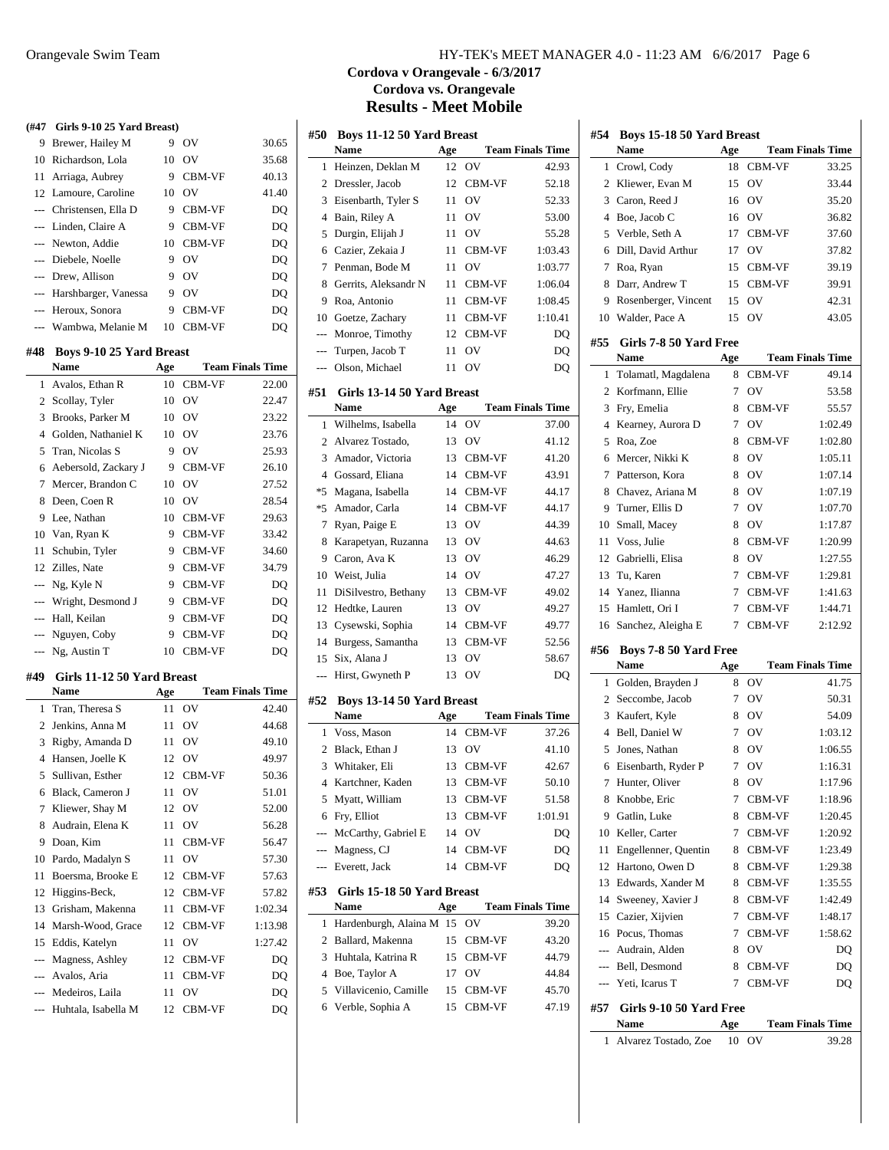| (#47 Girls 9-10 25 Yard Breast)<br>9<br>Brewer, Hailey M<br>9<br>OV<br>Richardson, Lola<br>10<br>OV<br>10<br>11<br>Arriaga, Aubrey<br>9<br>CBM-VF<br>10 OV<br>12 Lamoure, Caroline<br>--- Christensen, Ella D<br>9 CBM-VF<br>--- Linden, Claire A<br>9 CBM-VF<br>Newton, Addie<br>10 CBM-VF<br>$---$<br>Diebele, Noelle<br>OV<br>9<br>$\overline{a}$<br>Drew, Allison<br>9 OV<br>$---$<br>Harshbarger, Vanessa<br>9 OV<br>$---$<br>Heroux, Sonora<br>9<br>CBM-VF<br>$---$<br>Wambwa, Melanie M<br>CBM-VF<br>$---$<br>10<br>#48<br>Boys 9-10 25 Yard Breast<br>Name<br>Age | 30.65<br>35.68<br>40.13<br>41.40<br>DQ<br>DQ<br>DQ<br>DQ<br>DQ<br>DQ<br>DQ<br>DQ |
|---------------------------------------------------------------------------------------------------------------------------------------------------------------------------------------------------------------------------------------------------------------------------------------------------------------------------------------------------------------------------------------------------------------------------------------------------------------------------------------------------------------------------------------------------------------------------|----------------------------------------------------------------------------------|
|                                                                                                                                                                                                                                                                                                                                                                                                                                                                                                                                                                           |                                                                                  |
|                                                                                                                                                                                                                                                                                                                                                                                                                                                                                                                                                                           |                                                                                  |
|                                                                                                                                                                                                                                                                                                                                                                                                                                                                                                                                                                           |                                                                                  |
|                                                                                                                                                                                                                                                                                                                                                                                                                                                                                                                                                                           |                                                                                  |
|                                                                                                                                                                                                                                                                                                                                                                                                                                                                                                                                                                           |                                                                                  |
|                                                                                                                                                                                                                                                                                                                                                                                                                                                                                                                                                                           |                                                                                  |
|                                                                                                                                                                                                                                                                                                                                                                                                                                                                                                                                                                           |                                                                                  |
|                                                                                                                                                                                                                                                                                                                                                                                                                                                                                                                                                                           |                                                                                  |
|                                                                                                                                                                                                                                                                                                                                                                                                                                                                                                                                                                           |                                                                                  |
|                                                                                                                                                                                                                                                                                                                                                                                                                                                                                                                                                                           |                                                                                  |
|                                                                                                                                                                                                                                                                                                                                                                                                                                                                                                                                                                           |                                                                                  |
|                                                                                                                                                                                                                                                                                                                                                                                                                                                                                                                                                                           |                                                                                  |
|                                                                                                                                                                                                                                                                                                                                                                                                                                                                                                                                                                           |                                                                                  |
|                                                                                                                                                                                                                                                                                                                                                                                                                                                                                                                                                                           |                                                                                  |
|                                                                                                                                                                                                                                                                                                                                                                                                                                                                                                                                                                           | <b>Team Finals Time</b>                                                          |
| CBM-VF<br>Avalos, Ethan R<br>10<br>1                                                                                                                                                                                                                                                                                                                                                                                                                                                                                                                                      | 22.00                                                                            |
| Scollay, Tyler<br><b>OV</b><br>2<br>10                                                                                                                                                                                                                                                                                                                                                                                                                                                                                                                                    | 22.47                                                                            |
| Brooks, Parker M<br>3<br>10 OV                                                                                                                                                                                                                                                                                                                                                                                                                                                                                                                                            | 23.22                                                                            |
| Golden, Nathaniel K<br>$\overline{4}$<br>10 OV                                                                                                                                                                                                                                                                                                                                                                                                                                                                                                                            | 23.76                                                                            |
| OV<br>5<br>Tran, Nicolas S<br>9                                                                                                                                                                                                                                                                                                                                                                                                                                                                                                                                           | 25.93                                                                            |
| 6<br>Aebersold, Zackary J<br>9<br>CBM-VF                                                                                                                                                                                                                                                                                                                                                                                                                                                                                                                                  | 26.10                                                                            |
| Mercer, Brandon C<br><b>OV</b><br>7<br>10                                                                                                                                                                                                                                                                                                                                                                                                                                                                                                                                 | 27.52                                                                            |
| 8<br>Deen, Coen R<br>10<br>OV                                                                                                                                                                                                                                                                                                                                                                                                                                                                                                                                             | 28.54                                                                            |
| 9<br>Lee, Nathan<br>10<br>CBM-VF                                                                                                                                                                                                                                                                                                                                                                                                                                                                                                                                          | 29.63                                                                            |
| Van, Ryan K<br>9<br>CBM-VF<br>10                                                                                                                                                                                                                                                                                                                                                                                                                                                                                                                                          | 33.42                                                                            |
| 11<br>Schubin, Tyler<br>9 CBM-VF                                                                                                                                                                                                                                                                                                                                                                                                                                                                                                                                          | 34.60                                                                            |
| 12<br>Zilles, Nate<br>9<br>CBM-VF                                                                                                                                                                                                                                                                                                                                                                                                                                                                                                                                         | 34.79                                                                            |
| --- Ng, Kyle N<br>9 CBM-VF                                                                                                                                                                                                                                                                                                                                                                                                                                                                                                                                                | DQ                                                                               |
| Wright, Desmond J<br>9 CBM-VF                                                                                                                                                                                                                                                                                                                                                                                                                                                                                                                                             | DQ                                                                               |
| Hall, Keilan<br>9<br><b>CBM-VF</b><br>$\cdots$                                                                                                                                                                                                                                                                                                                                                                                                                                                                                                                            | DQ                                                                               |
| Nguyen, Coby<br>9<br>CBM-VF<br>---                                                                                                                                                                                                                                                                                                                                                                                                                                                                                                                                        | DQ                                                                               |
| Ng, Austin T<br>10 CBM-VF<br>---                                                                                                                                                                                                                                                                                                                                                                                                                                                                                                                                          | DQ                                                                               |
|                                                                                                                                                                                                                                                                                                                                                                                                                                                                                                                                                                           |                                                                                  |
| Girls 11-12 50 Yard Breast<br>#49                                                                                                                                                                                                                                                                                                                                                                                                                                                                                                                                         |                                                                                  |
| Name<br>Age                                                                                                                                                                                                                                                                                                                                                                                                                                                                                                                                                               | <b>Team Finals Time</b>                                                          |
| OV<br>Tran, Theresa S<br>11<br>1                                                                                                                                                                                                                                                                                                                                                                                                                                                                                                                                          | 42.40                                                                            |
| $\overline{2}$<br>Jenkins, Anna M<br>11<br><b>OV</b>                                                                                                                                                                                                                                                                                                                                                                                                                                                                                                                      | 44.68                                                                            |
| Rigby, Amanda D<br>3<br>11<br>OV                                                                                                                                                                                                                                                                                                                                                                                                                                                                                                                                          | 49.10                                                                            |
|                                                                                                                                                                                                                                                                                                                                                                                                                                                                                                                                                                           | 49.97                                                                            |
| 4 Hansen, Joelle K<br>12 OV                                                                                                                                                                                                                                                                                                                                                                                                                                                                                                                                               | 50.36                                                                            |
| Sullivan, Esther<br>12<br>CBM-VF<br>5                                                                                                                                                                                                                                                                                                                                                                                                                                                                                                                                     |                                                                                  |
| Black, Cameron J<br>11<br>OV<br>6                                                                                                                                                                                                                                                                                                                                                                                                                                                                                                                                         | 51.01                                                                            |
| Kliewer, Shay M<br>OV<br>7<br>12                                                                                                                                                                                                                                                                                                                                                                                                                                                                                                                                          | 52.00                                                                            |
| Audrain, Elena K<br>8<br>11<br>OV                                                                                                                                                                                                                                                                                                                                                                                                                                                                                                                                         | 56.28                                                                            |
| Doan, Kim<br>9<br>11<br>CBM-VF                                                                                                                                                                                                                                                                                                                                                                                                                                                                                                                                            | 56.47                                                                            |
| Pardo, Madalyn S<br>OV<br>11<br>10                                                                                                                                                                                                                                                                                                                                                                                                                                                                                                                                        | 57.30                                                                            |
| Boersma, Brooke E<br>12<br>CBM-VF<br>11                                                                                                                                                                                                                                                                                                                                                                                                                                                                                                                                   | 57.63                                                                            |
| Higgins-Beck,<br>12<br>12<br>CBM-VF                                                                                                                                                                                                                                                                                                                                                                                                                                                                                                                                       | 57.82                                                                            |
| Grisham, Makenna<br>CBM-VF<br>13<br>11                                                                                                                                                                                                                                                                                                                                                                                                                                                                                                                                    | 1:02.34                                                                          |
| Marsh-Wood, Grace<br>14<br>12<br>CBM-VF                                                                                                                                                                                                                                                                                                                                                                                                                                                                                                                                   | 1:13.98                                                                          |
| OV<br>15<br>Eddis, Katelyn<br>11                                                                                                                                                                                                                                                                                                                                                                                                                                                                                                                                          | 1:27.42                                                                          |
| Magness, Ashley<br>CBM-VF<br>---<br>12                                                                                                                                                                                                                                                                                                                                                                                                                                                                                                                                    | DQ                                                                               |
| Avalos, Aria<br>11<br>CBM-VF                                                                                                                                                                                                                                                                                                                                                                                                                                                                                                                                              | DQ                                                                               |
| Medeiros, Laila<br>11<br>OV<br>---<br>Huhtala, Isabella M                                                                                                                                                                                                                                                                                                                                                                                                                                                                                                                 | DQ<br>DQ                                                                         |

## Orangevale Swim Team HY-TEK's MEET MANAGER 4.0 - 11:23 AM 6/6/2017 Page 6

# **Cordova v Orangevale - 6/3/2017 Cordova vs. Orangevale Results - Meet Mobile**

| #50            | <b>Boys 11-12 50 Yard Breast</b>         |                  |               |                         |
|----------------|------------------------------------------|------------------|---------------|-------------------------|
|                | <b>Name</b>                              | Age              |               | <b>Team Finals Time</b> |
| 1              | Heinzen, Deklan M                        | 12 <sup>12</sup> | OV            | 42.93                   |
| 2              | Dressler, Jacob                          | 12               | CBM-VF        | 52.18                   |
| 3              | Eisenbarth, Tyler S                      | 11               | OV            | 52.33                   |
| 4              | Bain, Riley A                            | 11               | OV            | 53.00                   |
| 5              | Durgin, Elijah J                         | 11               | OV            | 55.28                   |
| 6              | Cazier, Zekaia J                         | 11               | CBM-VF        | 1:03.43                 |
| 7              | Penman, Bode M                           | 11               | OV            | 1:03.77                 |
| 8              | Gerrits, Aleksandr N                     | 11               | CBM-VF        | 1:06.04                 |
| 9              | Roa, Antonio                             | 11               | CBM-VF        | 1:08.45                 |
|                | 10 Goetze, Zachary                       | 11 -             | CBM-VF        | 1:10.41                 |
| $---$          | Monroe, Timothy                          | 12               | <b>CBM-VF</b> | DQ                      |
| ---            | Turpen, Jacob T                          | 11               | OV            | DQ                      |
| ---            | Olson, Michael                           | 11               | OV            | DQ                      |
| #51            | Girls 13-14 50 Yard Breast               |                  |               |                         |
|                | Name                                     | Age              |               | <b>Team Finals Time</b> |
| 1              | Wilhelms, Isabella                       | 14               | OV            | 37.00                   |
| $\overline{c}$ | Alvarez Tostado,                         | 13               | OV            | 41.12                   |
| 3              | Amador, Victoria                         | 13               | CBM-VF        | 41.20                   |
| $\overline{4}$ | Gossard, Eliana                          | 14               | <b>CBM-VF</b> | 43.91                   |
| $*5$           | Magana, Isabella                         | 14               | CBM-VF        | 44.17                   |
| *5             | Amador, Carla                            | 14               | CBM-VF        | 44.17                   |
| 7              | Ryan, Paige E                            | 13               | OV            | 44.39                   |
| 8              | Karapetyan, Ruzanna                      | 13               | OV            | 44.63                   |
| 9              | Caron, Ava K                             | 13               | OV            | 46.29                   |
|                | 10 Weist, Julia                          | 14               | OV            | 47.27                   |
| 11             | DiSilvestro, Bethany                     | 13               | CBM-VF        | 49.02                   |
| 12             | Hedtke, Lauren                           | 13               | OV            | 49.27                   |
| 13             | Cysewski, Sophia                         | 14               | CBM-VF        | 49.77                   |
| 14             | Burgess, Samantha                        | 13               | CBM-VF        | 52.56                   |
| 15             | Six, Alana J                             | 13               | OV            | 58.67                   |
| ---            | Hirst, Gwyneth P                         | 13               | OV            | DQ                      |
|                |                                          |                  |               |                         |
| #52            | Boys 13-14 50 Yard Breast<br><b>Name</b> | Age              |               | <b>Team Finals Time</b> |
| 1              | Voss, Mason                              | 14               | CBM-VF        | 37.26                   |
| 2              | Black, Ethan J                           | 13               | OV            | 41.10                   |
| 3              | Whitaker, Eli                            | 13               | CBM-VF        | 42.67                   |
| 4              | Kartchner, Kaden                         | 13               | CBM-VF        | 50.10                   |
| 5              | Myatt, William                           | 13               | CBM-VF        | 51.58                   |
| 6              | Fry, Elliot                              | 13               | CBM-VF        | 1:01.91                 |
|                | --- McCarthy, Gabriel E                  | 14               | OV            | DQ                      |
|                | --- Magness, CJ                          | 14               | CBM-VF        | DQ                      |
| $---$          | Everett, Jack                            | 14               | CBM-VF        | DQ                      |
|                |                                          |                  |               |                         |
| #53            | Girls 15-18 50 Yard Breast               |                  |               |                         |
|                | Name                                     | Age              |               | <b>Team Finals Time</b> |
| 1              | Hardenburgh, Alaina M                    | 15               | OV            | 39.20                   |
| 2              | Ballard, Makenna                         | 15               | CBM-VF        | 43.20                   |
| 3              | Huhtala, Katrina R                       | 15               | CBM-VF        | 44.79                   |
| 4              | Boe, Taylor A                            | 17               | OV            | 44.84                   |
| 5              | Villavicenio, Camille                    | 15               | CBM-VF        | 45.70                   |
| 6              | Verble, Sophia A                         | 15               | CBM-VF        | 47.19                   |

| #54 | Boys 15-18 50 Yard Breast            |     |        |                         |
|-----|--------------------------------------|-----|--------|-------------------------|
|     | Name                                 | Age |        | <b>Team Finals Time</b> |
| 1   | Crowl, Cody                          | 18  | CBM-VF | 33.25                   |
| 2   | Kliewer, Evan M                      | 15  | OV     | 33.44                   |
| 3   | Caron, Reed J                        | 16  | OV     | 35.20                   |
| 4   | Boe, Jacob C                         | 16  | OV     | 36.82                   |
| 5   | Verble, Seth A                       | 17  | CBM-VF | 37.60                   |
| 6   | Dill, David Arthur                   | 17  | OV     | 37.82                   |
| 7   | Roa, Ryan                            | 15  | CBM-VF | 39.19                   |
| 8   | Darr, Andrew T                       | 15  | CBM-VF | 39.91                   |
| 9   | Rosenberger, Vincent                 | 15  | OV     | 42.31                   |
| 10  | Walder, Pace A                       | 15  | OV     | 43.05                   |
| #55 | Girls 7-8 50 Yard Free               |     |        |                         |
|     | Name                                 | Age |        | <b>Team Finals Time</b> |
| 1   | Tolamatl, Magdalena                  | 8   | CBM-VF | 49.14                   |
| 2   | Korfmann, Ellie                      | 7   | OV     | 53.58                   |
| 3   | Fry, Emelia                          | 8   | CBM-VF | 55.57                   |
| 4   | Kearney, Aurora D                    | 7   | OV     | 1:02.49                 |
| 5   | Roa, Zoe                             | 8   | CBM-VF | 1:02.80                 |
| 6   | Mercer, Nikki K                      | 8   | OV     | 1:05.11                 |
| 7   | Patterson, Kora                      | 8   | OV     | 1:07.14                 |
| 8   | Chavez, Ariana M                     | 8   | OV     | 1:07.19                 |
| 9   | Turner, Ellis D                      | 7   | OV     | 1:07.70                 |
| 10  | Small, Macey                         | 8   | OV     | 1:17.87                 |
| 11  | Voss, Julie                          | 8   | CBM-VF | 1:20.99                 |
| 12  | Gabrielli, Elisa                     | 8   | OV     | 1:27.55                 |
| 13  | Tu, Karen                            | 7   | CBM-VF | 1:29.81                 |
| 14  | Yanez, Ilianna                       | 7   | CBM-VF | 1:41.63                 |
| 15  | Hamlett, Ori I                       | 7   | CBM-VF | 1:44.71                 |
| 16  | Sanchez, Aleigha E                   | 7   | CBM-VF | 2:12.92                 |
| #56 | Boys 7-8 50 Yard Free                |     |        |                         |
|     | Name                                 | Age |        | <b>Team Finals Time</b> |
|     |                                      |     |        |                         |
| 1   |                                      | 8   | OV     | 41.75                   |
| 2   | Golden, Brayden J<br>Seccombe, Jacob | 7   | OV     | 50.31                   |
| 3   |                                      | 8   | OV     | 54.09                   |
| 4   | Kaufert, Kyle<br>Bell, Daniel W      | 7   | OV     | 1:03.12                 |
| 5   | Jones, Nathan                        | 8   | OV     | 1:06.55                 |
| 6   | Eisenbarth, Ryder P                  | 7   | OV     | 1:16.31                 |
| 7   | Hunter, Oliver                       | 8   | OV     | 1:17.96                 |
| 8   | Knobbe, Eric                         | 7   | CBM-VF | 1:18.96                 |
| 9   | Gatlin, Luke                         | 8   | CBM-VF | 1:20.45                 |
| 10  | Keller, Carter                       | 7   | CBM-VF | 1:20.92                 |
| 11  | Engellenner, Quentin                 | 8   | CBM-VF | 1:23.49                 |
| 12  | Hartono, Owen D                      | 8   | CBM-VF | 1:29.38                 |
| 13  | Edwards, Xander M                    | 8   | CBM-VF | 1:35.55                 |
| 14  | Sweeney, Xavier J                    | 8   | CBM-VF | 1:42.49                 |
| 15  | Cazier, Xijvien                      | 7   | CBM-VF | 1:48.17                 |
| 16  | Pocus, Thomas                        | 7   | CBM-VF | 1:58.62                 |
| --- | Audrain, Alden                       | 8   | OV     | DQ                      |
| --- | Bell, Desmond                        | 8   | CBM-VF | DQ                      |
| --- | Yeti, Icarus T                       | 7   | CBM-VF | DQ                      |
|     |                                      |     |        |                         |
| #57 | Girls 9-10 50 Yard Free<br>Name      | Age |        | <b>Team Finals Time</b> |
| 1   | Alvarez Tostado, Zoe                 | 10  | OV     | 39.28                   |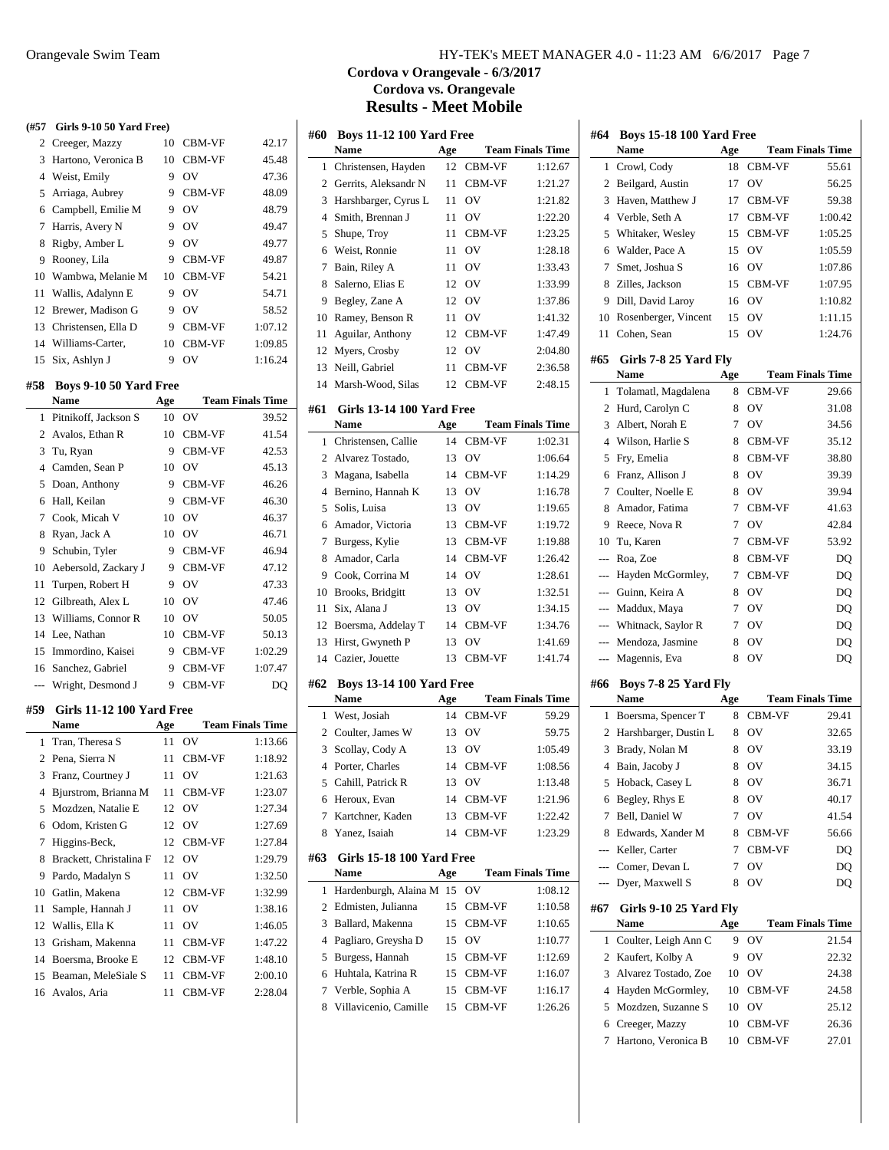| (#57)          | Girls 9-10 50 Yard Free)         |          |               |                         |
|----------------|----------------------------------|----------|---------------|-------------------------|
| $\overline{2}$ | Creeger, Mazzy                   | 10       | CBM-VF        | 42.17                   |
| 3              | Hartono, Veronica B              | 10       | CBM-VF        | 45.48                   |
| $\overline{4}$ | Weist, Emily                     | 9        | OV            | 47.36                   |
| 5              | Arriaga, Aubrey                  |          | 9 CBM-VF      | 48.09                   |
| 6              | Campbell, Emilie M               | 9        | OV            | 48.79                   |
| 7              | Harris, Avery N                  | 9        | <b>OV</b>     | 49.47                   |
| 8              | Rigby, Amber L                   | 9        | OV            | 49.77                   |
| 9              | Rooney, Lila                     | 9        | CBM-VF        | 49.87                   |
| 10             | Wambwa, Melanie M                | 10       | CBM-VF        | 54.21                   |
| 11             | Wallis, Adalynn E                | 9        | OV            | 54.71                   |
| 12             | Brewer, Madison G                | 9        | OV            | 58.52                   |
|                | 13 Christensen, Ella D           | 9        | CBM-VF        | 1:07.12                 |
|                | 14 Williams-Carter,              | 10       | CBM-VF        | 1:09.85                 |
| 15             | Six, Ashlyn J                    | 9        | OV            | 1:16.24                 |
|                |                                  |          |               |                         |
| #58            | Boys 9-10 50 Yard Free<br>Name   |          |               | <b>Team Finals Time</b> |
|                |                                  | Age      |               |                         |
| 1              | Pitnikoff, Jackson S             | 10<br>10 | OV            | 39.52<br>41.54          |
| 2              | Avalos, Ethan R                  |          | CBM-VF        |                         |
| 3              | Tu, Ryan                         | 9        | <b>CBM-VF</b> | 42.53                   |
| 4              | Camden, Sean P                   |          | 10 OV         | 45.13                   |
| 5              | Doan, Anthony                    | 9        | CBM-VF        | 46.26                   |
| 6              | Hall, Keilan                     | 9        | <b>CBM-VF</b> | 46.30                   |
| 7              | Cook, Micah V                    | 10       | OV            | 46.37                   |
| 8              | Ryan, Jack A                     | 10       | OV            | 46.71                   |
| 9              | Schubin, Tyler                   | 9        | CBM-VF        | 46.94                   |
| 10             | Aebersold, Zackary J             | 9        | CBM-VF        | 47.12                   |
| 11             | Turpen, Robert H                 | 9        | OV            | 47.33                   |
| 12             | Gilbreath, Alex L                |          | 10 OV         | 47.46                   |
| 13             | Williams, Connor R               |          | 10 OV         | 50.05                   |
| 14             | Lee, Nathan                      |          | 10 CBM-VF     | 50.13                   |
| 15             | Immordino, Kaisei                |          | 9 CBM-VF      | 1:02.29                 |
| 16             | Sanchez, Gabriel                 |          | 9 CBM-VF      | 1:07.47                 |
| ---            | Wright, Desmond J                | 9.       | CBM-VF        | DQ                      |
| #59            | <b>Girls 11-12 100 Yard Free</b> |          |               |                         |
|                | Name                             | Age      |               | <b>Team Finals Time</b> |
| 1              | Tran, Theresa S                  | 11       | OV            | 1:13.66                 |
|                | 2 Pena, Sierra N                 |          | 11 CBM-VF     | 1:18.92                 |
| 3              | Franz, Courtney J                | 11       | OV            | 1:21.63                 |
| 4              | Bjurstrom, Brianna M             | 11       | CBM-VF        | 1:23.07                 |
| 5              | Mozdzen, Natalie E               | 12       | OV            | 1:27.34                 |
| 6              | Odom, Kristen G                  | 12       | OV            | 1:27.69                 |
| 7              | Higgins-Beck,                    | 12       | CBM-VF        | 1:27.84                 |
| 8              | Brackett, Christalina F          | 12       | OV            | 1:29.79                 |
| 9              | Pardo, Madalyn S                 | 11       | OV            | 1:32.50                 |
| 10             | Gatlin, Makena                   | 12       | CBM-VF        | 1:32.99                 |
| 11             | Sample, Hannah J                 | 11       | OV            | 1:38.16                 |
| 12             | Wallis, Ella K                   | 11       | OV            | 1:46.05                 |
| 13             | Grisham, Makenna                 | 11       | CBM-VF        | 1:47.22                 |
| 14             | Boersma, Brooke E                | 12       | CBM-VF        | 1:48.10                 |
| 15             | Beaman, MeleSiale S              | 11       | CBM-VF        | 2:00.10                 |
| 16             | Avalos, Aria                     | 11       | CBM-VF        | 2:28.04                 |

# Orangevale Swim Team HY-TEK's MEET MANAGER 4.0 - 11:23 AM 6/6/2017 Page 7

## **Cordova v Orangevale - 6/3/2017 Cordova vs. Orangevale Results - Meet Mobile**

| #60            | <b>Boys 11-12 100 Yard Free</b>          |     |        |                         |
|----------------|------------------------------------------|-----|--------|-------------------------|
|                | <b>Name</b>                              | Age |        | <b>Team Finals Time</b> |
| 1              | Christensen, Hayden                      | 12  | CBM-VF | 1:12.67                 |
| 2              | Gerrits, Aleksandr N                     | 11  | CBM-VF | 1:21.27                 |
| 3              | Harshbarger, Cyrus L                     | 11  | OV     | 1:21.82                 |
| $\overline{4}$ | Smith, Brennan J                         | 11  | OV     | 1:22.20                 |
| 5              | Shupe, Troy                              | 11  | CBM-VF | 1:23.25                 |
| 6              | Weist, Ronnie                            | 11  | OV     | 1:28.18                 |
| 7              | Bain, Riley A                            | 11  | OV     | 1:33.43                 |
| 8              | Salerno, Elias E                         | 12  | OV     | 1:33.99                 |
| 9              | Begley, Zane A                           | 12  | OV     | 1:37.86                 |
| 10             | Ramey, Benson R                          | 11  | OV     | 1:41.32                 |
| 11             | Aguilar, Anthony                         | 12  | CBM-VF | 1:47.49                 |
| 12             | Myers, Crosby                            | 12  | OV     | 2:04.80                 |
| 13             | Neill, Gabriel                           | 11  | CBM-VF | 2:36.58                 |
| 14             | Marsh-Wood, Silas                        | 12  | CBM-VF | 2:48.15                 |
|                |                                          |     |        |                         |
| #61            | <b>Girls 13-14 100 Yard Free</b>         |     |        |                         |
|                | <b>Name</b>                              | Age |        | <b>Team Finals Time</b> |
| 1              | Christensen, Callie                      | 14  | CBM-VF | 1:02.31                 |
| 2              | Alvarez Tostado,                         | 13  | OV     | 1:06.64                 |
| 3              | Magana, Isabella                         | 14  | CBM-VF | 1:14.29                 |
| 4              | Bernino, Hannah K                        | 13  | OV     | 1:16.78                 |
| 5              | Solis, Luisa                             | 13  | OV     | 1:19.65                 |
| 6              | Amador, Victoria                         | 13  | CBM-VF | 1:19.72                 |
| 7              | Burgess, Kylie                           | 13  | CBM-VF | 1:19.88                 |
| 8              | Amador, Carla                            | 14  | CBM-VF | 1:26.42                 |
| 9              | Cook, Corrina M                          | 14  | OV     | 1:28.61                 |
| 10             | Brooks, Bridgitt                         | 13  | OV     | 1:32.51                 |
| 11             | Six, Alana J                             | 13  | OV     | 1:34.15                 |
| 12             | Boersma, Addelay T                       | 14  | CBM-VF | 1:34.76                 |
| 13             | Hirst, Gwyneth P                         | 13  | OV     | 1:41.69                 |
| 14             | Cazier, Jouette                          | 13  | CBM-VF | 1:41.74                 |
| #62            | <b>Boys 13-14 100 Yard Free</b>          |     |        |                         |
|                | <b>Name</b>                              | Age |        | <b>Team Finals Time</b> |
| 1              | West, Josiah                             | 14  | CBM-VF | 59.29                   |
| $\overline{2}$ | Coulter, James W                         | 13  | OV     | 59.75                   |
| 3              | Scollay, Cody A                          | 13  | OV     | 1:05.49                 |
| $\overline{4}$ | Porter, Charles                          | 14  | CBM-VF | 1:08.56                 |
|                | 5 Cahill, Patrick R                      |     | 13 OV  | 1:13.48                 |
| 6              | Heroux, Evan                             | 14  | CBM-VF | 1:21.96                 |
| 7              | Kartchner, Kaden                         | 13  | CBM-VF | 1:22.42                 |
| 8              | Yanez, Isaiah                            | 14  | CBM-VF | 1:23.29                 |
|                |                                          |     |        |                         |
| #63            | <b>Girls 15-18 100 Yard Free</b><br>Name | Age |        | <b>Team Finals Time</b> |
| 1              | Hardenburgh, Alaina M                    | 15  | OV     | 1:08.12                 |
| 2              | Edmisten, Julianna                       | 15  | CBM-VF | 1:10.58                 |
| 3              | Ballard, Makenna                         | 15  | CBM-VF | 1:10.65                 |
| 4              | Pagliaro, Greysha D                      | 15  | OV     | 1:10.77                 |
| 5              | Burgess, Hannah                          | 15  | CBM-VF | 1:12.69                 |
| 6              | Huhtala, Katrina R                       | 15  | CBM-VF | 1:16.07                 |
| 7              | Verble, Sophia A                         | 15  | CBM-VF | 1:16.17                 |
| 8              | Villavicenio, Camille                    | 15  | CBM-VF | 1:26.26                 |
|                |                                          |     |        |                         |

| #64            | <b>Boys 15-18 100 Yard Free</b> |     |                |                         |
|----------------|---------------------------------|-----|----------------|-------------------------|
|                | <b>Name</b>                     | Age |                | <b>Team Finals Time</b> |
| 1              | Crowl, Cody                     | 18  | CBM-VF         | 55.61                   |
| 2              | Beilgard, Austin                | 17  | OV             | 56.25                   |
| 3              | Haven, Matthew J                | 17  | CBM-VF         | 59.38                   |
| 4              | Verble, Seth A                  | 17  | CBM-VF         | 1:00.42                 |
| 5              | Whitaker, Wesley                | 15  | CBM-VF         | 1:05.25                 |
| 6              | Walder, Pace A                  | 15  | OV             | 1:05.59                 |
| 7              | Smet, Joshua S                  | 16  | OV             | 1:07.86                 |
| 8              | Zilles, Jackson                 | 15  | CBM-VF         | 1:07.95                 |
|                | 9 Dill, David Laroy             | 16  | OV             | 1:10.82                 |
|                | 10 Rosenberger, Vincent         | 15  | O <sub>V</sub> | 1:11.15                 |
| 11             | Cohen, Sean                     | 15  | OV             | 1:24.76                 |
| #65            | Girls 7-8 25 Yard Fly           |     |                |                         |
|                | Name                            | Age |                | <b>Team Finals Time</b> |
| 1              | Tolamatl, Magdalena             | 8   | CBM-VF         | 29.66                   |
| 2              | Hurd, Carolyn C                 | 8   | OV             | 31.08                   |
| 3              | Albert, Norah E                 | 7   | OV             | 34.56                   |
| 4              | Wilson, Harlie S                | 8   | CBM-VF         | 35.12                   |
| 5              | Fry, Emelia                     | 8   | CBM-VF         | 38.80                   |
| 6              | Franz, Allison J                | 8   | OV             | 39.39                   |
| 7              | Coulter, Noelle E               | 8   | OV             | 39.94                   |
| 8              | Amador, Fatima                  | 7   | CBM-VF         | 41.63                   |
| 9              | Reece, Nova R                   | 7   | OV             | 42.84                   |
| 10             | Tu, Karen                       | 7   | CBM-VF         | 53.92                   |
| ---            | Roa, Zoe                        | 8   | CBM-VF         | DQ                      |
| ---            | Hayden McGormley,               | 7   | CBM-VF         | DQ                      |
| $---$          | Guinn, Keira A                  | 8   | OV             | DQ                      |
| $---$          | Maddux, Maya                    | 7   | OV             | DQ                      |
| ---            | Whitnack, Saylor R              | 7   | OV             | DQ                      |
| $\overline{a}$ | Mendoza, Jasmine                | 8   | ov             | DQ                      |
| ---            | Magennis, Eva                   | 8   | OV             | DQ                      |
| #66            | Boys 7-8 25 Yard Fly            |     |                |                         |
|                | <b>Name</b>                     | Age |                | <b>Team Finals Time</b> |
| 1              | Boersma, Spencer T              | 8   | CBM-VF         | 29.41                   |
| 2              | Harshbarger, Dustin L           | 8   | OV             | 32.65                   |
| 3              | Brady, Nolan M                  | 8   | ov             | 33.19                   |
| 4              | Bain, Jacoby J                  | 8   | OV             | 34.15                   |
| 5              | Hoback, Casey L                 | 8   | ov             | 36.71                   |
| 6              | Begley, Rhys E                  | 8   | OV             | 40.17                   |
| 7              | Bell, Daniel W                  | 7   | OV             | 41.54                   |
| 8              | Edwards, Xander M               | 8   | CBM-VF         | 56.66                   |
| ---            | Keller, Carter                  | 7   | CBM-VF         | DQ                      |
|                | --- Comer, Devan L              | 7   | OV             | DQ                      |
|                | --- Dyer, Maxwell S             | 8   | OV             | DQ                      |
| #67            | Girls 9-10 25 Yard Fly<br>Name  | Age |                | <b>Team Finals Time</b> |
| 1              | Coulter, Leigh Ann C            | 9   | OV             | 21.54                   |
| 2              | Kaufert, Kolby A                | 9   | ov             | 22.32                   |
| 3              | Alvarez Tostado, Zoe            | 10  | OV             | 24.38                   |
| 4              | Hayden McGormley,               | 10  | CBM-VF         | 24.58                   |
| 5              | Mozdzen, Suzanne S              | 10  | OV             | 25.12                   |
|                | 6 Creeger, Mazzy                | 10  | CBM-VF         | 26.36                   |
| 7              | Hartono, Veronica B             | 10  | CBM-VF         | 27.01                   |
|                |                                 |     |                |                         |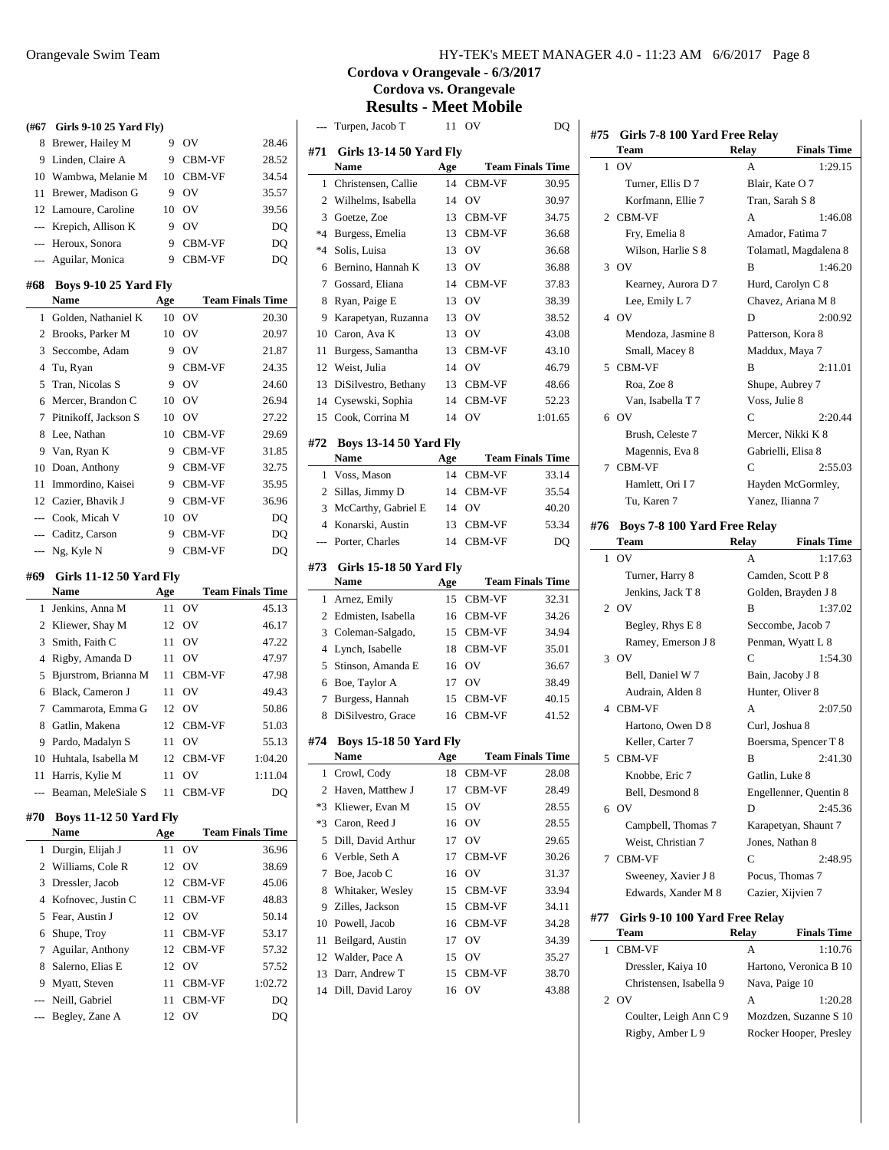| (#67           | Girls 9-10 25 Yard Fly)               |          |                  |                         |
|----------------|---------------------------------------|----------|------------------|-------------------------|
| 8              | Brewer, Hailey M                      | 9        | OV               | 28.46                   |
| 9              | Linden, Claire A                      | 9        | CBM-VF           | 28.52                   |
| 10             | Wambwa, Melanie M                     | 10       | CBM-VF           | 34.54                   |
| 11             | Brewer, Madison G                     | 9        | OV               | 35.57                   |
|                | 12 Lamoure, Caroline                  | 10       | OV               | 39.56                   |
| $\overline{a}$ | Krepich, Allison K                    | 9        | OV               | DQ                      |
| ---            | Heroux, Sonora                        | 9        | CBM-VF           | DQ                      |
| ---            | Aguilar, Monica                       | 9        | CBM-VF           | DO                      |
|                |                                       |          |                  |                         |
| #68            | <b>Boys 9-10 25 Yard Fly</b>          |          |                  |                         |
|                | Name                                  | Age      |                  | <b>Team Finals Time</b> |
| 1              | Golden, Nathaniel K                   | 10       | OV               | 20.30                   |
| $\overline{c}$ | Brooks, Parker M                      | 10       | OV               | 20.97                   |
| 3              | Seccombe, Adam                        | 9        | OV               | 21.87                   |
| $\overline{4}$ | Tu, Ryan                              | 9        | CBM-VF           | 24.35                   |
| 5              | Tran, Nicolas S                       | 9        | OV               | 24.60                   |
| 6              | Mercer, Brandon C                     | 10       | OV               | 26.94                   |
| 7              | Pitnikoff, Jackson S                  | 10       | OV               | 27.22                   |
| 8              | Lee, Nathan                           | 10       | CBM-VF           | 29.69                   |
| 9              | Van, Ryan K                           | 9        | CBM-VF           | 31.85                   |
| 10             | Doan, Anthony                         | 9        | <b>CBM-VF</b>    | 32.75                   |
| 11             | Immordino, Kaisei                     | 9        | CBM-VF           | 35.95                   |
|                | 12 Cazier, Bhavik J                   | 9        | CBM-VF           | 36.96                   |
|                | --- Cook, Micah V                     | 10       | O <sub>V</sub>   | DQ                      |
|                | --- Caditz, Carson                    | 9        | CBM-VF           | DQ                      |
| ---            | Ng, Kyle N                            | 9        | CBM-VF           | DQ                      |
|                |                                       |          |                  |                         |
| #69            | Girls 11-12 50 Yard Fly               |          |                  |                         |
|                | Name                                  | Age      |                  | <b>Team Finals Time</b> |
| 1              | Jenkins, Anna M                       | 11       | OV               | 45.13                   |
| 2              | Kliewer, Shay M                       | 12       | OV               | 46.17                   |
| 3              | Smith, Faith C                        | 11       | OV               | 47.22                   |
| 4              | Rigby, Amanda D                       | 11       | OV               | 47.97                   |
| 5              | Bjurstrom, Brianna M                  | 11       | <b>CBM-VF</b>    | 47.98                   |
| 6              | Black, Cameron J                      | 11       | OV               | 49.43                   |
| 7              | Cammarota, Emma G                     | 12       | OV               | 50.86                   |
| 8              | Gatlin, Makena                        | 12       | <b>CBM-VF</b>    | 51.03                   |
| 9              | Pardo, Madalyn S                      | 11       | OV               | 55.13                   |
| 10             | Huhtala, Isabella M                   | 12       | CBM-VF           | 1:04.20                 |
| 11             | Harris, Kylie M                       | 11       | OV               | 1:11.04                 |
| ---            | Beaman, MeleSiale S                   | 11       | CBM-VF           | DO                      |
|                |                                       |          |                  |                         |
| #70            | <b>Boys 11-12 50 Yard Fly</b><br>Name | Age      |                  | <b>Team Finals Time</b> |
| 1              | Durgin, Elijah J                      | 11       | OV               | 36.96                   |
| 2              | Williams, Cole R                      | 12       | OV               |                         |
| 3              | Dressler, Jacob                       | 12       | CBM-VF           | 38.69<br>45.06          |
| 4              | Kofnovec, Justin C                    | 11       | CBM-VF           | 48.83                   |
| 5              | Fear, Austin J                        | 12       | OV               | 50.14                   |
| 6              |                                       | 11       | CBM-VF           |                         |
|                | Shupe, Troy                           |          |                  | 53.17                   |
| 7<br>8         | Aguilar, Anthony                      | 12       | CBM-VF           | 57.32                   |
|                | Salerno, Elias E                      | 12       | OV               | 57.52                   |
| 9<br>---       | Myatt, Steven<br>Neill, Gabriel       | 11<br>11 | CBM-VF<br>CBM-VF | 1:02.72<br>DQ           |

## **Cordova v Orangevale - 6/3/2017 Cordova vs. Orangevale Results - Meet Mobile**

| $---$    | Turpen, Jacob T                       | 11       | - OV             | DQ                      |
|----------|---------------------------------------|----------|------------------|-------------------------|
| #71      | <b>Girls 13-14 50 Yard Fly</b>        |          |                  |                         |
|          | <b>Name</b>                           | Age      |                  | <b>Team Finals Time</b> |
| 1        | Christensen, Callie                   | 14       | CBM-VF           | 30.95                   |
| 2        | Wilhelms, Isabella                    | 14       | O <sub>V</sub>   | 30.97                   |
| 3        | Goetze, Zoe                           | 13       | CBM-VF           | 34.75                   |
| $*4$     | Burgess, Emelia                       | 13       | CBM-VF           | 36.68                   |
| $*4$     | Solis, Luisa                          | 13       | OV               | 36.68                   |
| 6        | Bernino, Hannah K                     | 13       | OV               | 36.88                   |
| 7        | Gossard, Eliana                       | 14       | CBM-VF           | 37.83                   |
| 8        | Ryan, Paige E                         | 13       | OV               | 38.39                   |
| 9        | Karapetyan, Ruzanna                   | 13       | OV               | 38.52                   |
| 10       | Caron, Ava K                          | 13       | OV               | 43.08                   |
| 11       | Burgess, Samantha                     | 13       | CBM-VF           | 43.10                   |
| 12       | Weist, Julia                          | 14       | OV               | 46.79                   |
| 13       | DiSilvestro, Bethany                  | 13       | CBM-VF           | 48.66                   |
|          | 14 Cysewski, Sophia                   | 14       | CBM-VF           | 52.23                   |
| 15       | Cook, Corrina M                       | 14       | O <sub>V</sub>   | 1:01.65                 |
| #72      | <b>Boys 13-14 50 Yard Fly</b>         |          |                  |                         |
|          | Name                                  | Age      |                  | <b>Team Finals Time</b> |
| 1        | Voss, Mason                           | 14       | CBM-VF           | 33.14                   |
| 2        | Sillas, Jimmy D                       | 14       | CBM-VF           | 35.54                   |
| 3        | McCarthy, Gabriel E                   | 14       | OV               | 40.20                   |
| 4        | Konarski, Austin                      | 13       | CBM-VF           | 53.34                   |
| ---      | Porter, Charles                       | 14       | CBM-VF           | DO                      |
|          |                                       |          |                  |                         |
|          |                                       |          |                  |                         |
| #73      | <b>Girls 15-18 50 Yard Fly</b>        |          |                  |                         |
|          | <b>Name</b>                           | Age      |                  | <b>Team Finals Time</b> |
| 1        | Arnez, Emily                          | 15       | CBM-VF           | 32.31                   |
| 2        | Edmisten, Isabella                    | 16       | CBM-VF           | 34.26                   |
| 3        | Coleman-Salgado,                      | 15       | CBM-VF           | 34.94                   |
| 4        | Lynch, Isabelle                       | 18       | CBM-VF           | 35.01                   |
| 5        | Stinson, Amanda E                     | 16       | OV               | 36.67                   |
| 6        | Boe, Taylor A                         | 17       | OV               | 38.49                   |
| 7<br>8   | Burgess, Hannah<br>DiSilvestro, Grace | 15<br>16 | CBM-VF<br>CBM-VF | 40.15<br>41.52          |
|          |                                       |          |                  |                         |
| #74      | <b>Boys 15-18 50 Yard Fly</b>         |          |                  |                         |
|          | Name                                  | Age      |                  | <b>Team Finals Time</b> |
| 1        | Crowl, Cody                           | 18       | CBM-VF           | 28.08                   |
| 2        | Haven, Matthew J                      | 17       | CBM-VF           | 28.49                   |
| $*3$     | Kliewer, Evan M                       | 15       | OV               | 28.55                   |
| *3       | Caron, Reed J                         | 16       | OV               | 28.55                   |
| 5        | Dill, David Arthur                    | 17       | OV               | 29.65                   |
| 6        | Verble, Seth A                        | 17       | CBM-VF           | 30.26                   |
| 7        | Boe, Jacob C                          | 16       | OV               | 31.37                   |
| 8        | Whitaker, Wesley                      | 15       | CBM-VF           | 33.94                   |
| 9        | Zilles, Jackson                       | 15       | CBM-VF           | 34.11                   |
| 10       | Powell, Jacob                         | 16       | CBM-VF           | 34.28                   |
| 11       | Beilgard, Austin                      | 17       | OV               | 34.39                   |
| 12       | Walder, Pace A                        | 15       | OV               | 35.27                   |
| 13<br>14 | Darr, Andrew T<br>Dill, David Laroy   | 15<br>16 | CBM-VF<br>OV     | 38.70<br>43.88          |

| #75    | Girls 7-8 100 Yard Free Relay<br>Team | <b>Finals Time</b> |                        |
|--------|---------------------------------------|--------------------|------------------------|
| 1      | OV                                    | Relay<br>A         | 1:29.15                |
|        | Turner, Ellis D 7                     |                    | Blair, Kate O 7        |
|        | Korfmann, Ellie 7                     |                    | Tran, Sarah S 8        |
|        | 2 CBM-VF                              | А                  | 1:46.08                |
|        | Fry, Emelia 8                         |                    | Amador, Fatima 7       |
|        | Wilson, Harlie S 8                    |                    | Tolamatl, Magdalena 8  |
|        | 3 OV                                  | в                  | 1:46.20                |
|        | Kearney, Aurora D 7                   |                    | Hurd, Carolyn C 8      |
|        | Lee, Emily L 7                        |                    | Chavez, Ariana M 8     |
|        | 4 OV                                  | D                  | 2:00.92                |
|        |                                       |                    |                        |
|        | Mendoza, Jasmine 8                    |                    | Patterson, Kora 8      |
|        | Small, Macey 8                        |                    | Maddux, Maya 7         |
| 5      | CBM-VF                                | в                  | 2:11.01                |
|        | Roa, Zoe 8                            |                    | Shupe, Aubrey 7        |
|        | Van, Isabella T 7                     | Voss, Julie 8      |                        |
|        | 6 OV                                  | C                  | 2:20.44                |
|        | Brush, Celeste 7                      |                    | Mercer, Nikki K 8      |
|        | Magennis, Eva 8                       |                    | Gabrielli, Elisa 8     |
| $\tau$ | <b>CBM-VF</b>                         | C                  | 2:55.03                |
|        | Hamlett, Ori I7                       |                    | Hayden McGormley,      |
|        | Tu, Karen 7                           |                    | Yanez, Ilianna 7       |
| #76    | Boys 7-8 100 Yard Free Relay<br>Team  | Relay              | <b>Finals Time</b>     |
| 1      | OV                                    | A                  | 1:17.63                |
|        | Turner, Harry 8                       |                    | Camden, Scott P 8      |
|        | Jenkins, Jack T 8                     |                    | Golden, Brayden J 8    |
|        | $2$ OV                                | B                  | 1:37.02                |
|        | Begley, Rhys E 8                      |                    | Seccombe, Jacob 7      |
|        | Ramey, Emerson J 8                    |                    | Penman, Wyatt L 8      |
|        | 3 OV                                  | C                  | 1:54.30                |
|        | Bell, Daniel W 7                      |                    | Bain, Jacoby J 8       |
|        | Audrain, Alden 8                      |                    | Hunter, Oliver 8       |
|        | 4 CBM-VF                              | A                  | 2:07.50                |
|        |                                       |                    |                        |
|        | Hartono, Owen D 8                     | Curl, Joshua 8     |                        |
|        | Keller, Carter 7                      |                    | Boersma, Spencer T 8   |
| 5      | CBM-VF                                | B                  | 2:41.30                |
|        | Knobbe, Eric 7                        | Gatlin, Luke 8     |                        |
|        | Bell, Desmond 8                       |                    | Engellenner, Quentin 8 |
| 6      | OV                                    | D                  | 2:45.36                |
|        | Campbell, Thomas 7                    |                    | Karapetyan, Shaunt 7   |
|        | Weist, Christian 7                    |                    | Jones, Nathan 8        |
| 7      | CBM-VF                                | C                  | 2:48.95                |
|        | Sweeney, Xavier J 8                   |                    | Pocus, Thomas 7        |
|        | Edwards, Xander M 8                   |                    | Cazier, Xijvien 7      |
| #77    | Girls 9-10 100 Yard Free Relay        |                    |                        |
|        | Team                                  | Relay              | <b>Finals Time</b>     |
| 1      | CBM-VF                                | А                  | 1:10.76                |
|        | Dressler, Kaiya 10                    |                    | Hartono, Veronica B 10 |
|        | Christensen, Isabella 9               |                    | Nava, Paige 10         |
|        | 2 $\alpha v$                          |                    | 1.20.28                |

2 OV A 1:20.28 Coulter, Leigh Ann C 9 Mozdzen, Suzanne S 10 Rigby, Amber L 9 Rocker Hooper, Presley